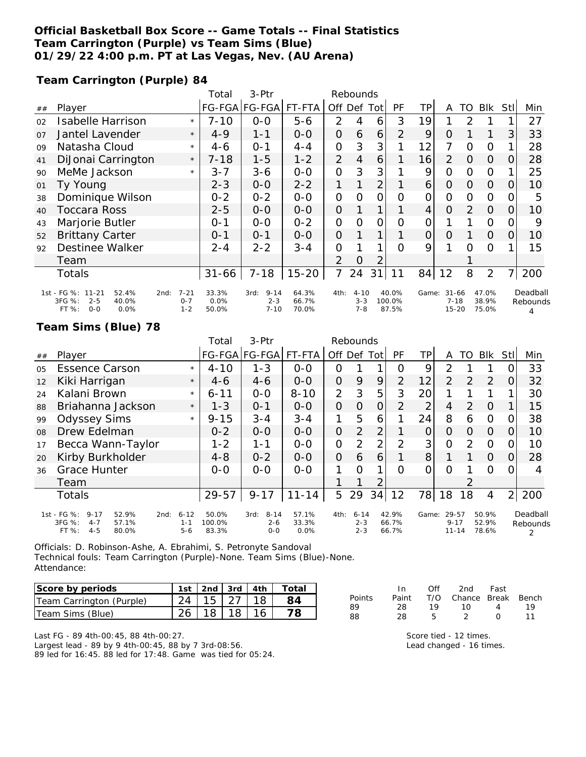## **Official Basketball Box Score -- Game Totals -- Final Statistics Team Carrington (Purple) vs Team Sims (Blue) 01/29/22 4:00 p.m. PT at Las Vegas, Nev. (AU Arena)**

**Team Carrington (Purple) 84**

|                |                                                                                      |                                        | Total                  | 3-Ptr                                   | Rebounds                |                |                                |                |                          |                 |                                    |               |                         |          |                           |
|----------------|--------------------------------------------------------------------------------------|----------------------------------------|------------------------|-----------------------------------------|-------------------------|----------------|--------------------------------|----------------|--------------------------|-----------------|------------------------------------|---------------|-------------------------|----------|---------------------------|
| ##             | Player                                                                               |                                        |                        | FG-FGA FG-FGA FT-FTA                    |                         | Off            |                                | Def Tot        | <b>PF</b>                | ΤP              | A                                  | TO            | Blk                     | Stll     | Min                       |
| 02             | <b>Isabelle Harrison</b>                                                             | $\star$                                | $7 - 10$               | $0 - 0$                                 | $5 - 6$                 | 2              | 4                              | 6              | 3                        | 19              |                                    | $\mathcal{P}$ |                         |          | 27                        |
| O <sub>7</sub> | Jantel Lavender                                                                      | $\star$                                | $4 - 9$                | 1-1                                     | $0 - 0$                 | 0              | 6                              | 6              | $\mathcal{P}$            | 9               | O                                  |               |                         | 3        | 33                        |
| 09             | Natasha Cloud                                                                        | $\star$                                | 4-6                    | $0 - 1$                                 | $4 - 4$                 | 0              | 3                              | 3              |                          | 12              | 7                                  | $\Omega$      | $\Omega$                |          | 28                        |
| 41             | DiJonai Carrington                                                                   | $\star$                                | $7 - 18$               | $1 - 5$                                 | 1-2                     | $\overline{2}$ | $\overline{4}$                 | 6              |                          | 16              | 2                                  | $\Omega$      | $\Omega$                | $\Omega$ | 28                        |
| 90             | MeMe Jackson                                                                         | $\star$                                | $3 - 7$                | $3 - 6$                                 | $0 - 0$                 | 0              | 3                              | 3              |                          | 9               | $\mathcal{O}$                      | $\Omega$      | $\overline{O}$          |          | 25                        |
| 01             | Ty Young                                                                             |                                        | $2 - 3$                | $0 - 0$                                 | $2 - 2$                 | 1              |                                | $\overline{2}$ |                          | $\overline{6}$  | 0                                  | $\Omega$      | $\Omega$                | O        | 10                        |
| 38             | Dominique Wilson                                                                     |                                        | $0 - 2$                | $0 - 2$                                 | $0 - 0$                 | 0              | $\Omega$                       | 0              | Ω                        | 0               | 0                                  | $\Omega$      | $\Omega$                |          | 5                         |
| 40             | Toccara Ross                                                                         |                                        | $2 - 5$                | $0 - 0$                                 | $0 - 0$                 | 0              |                                | 1              |                          | $\vert 4 \vert$ | $\Omega$                           | 2             | $\Omega$                | $\Omega$ | 10                        |
| 43             | Marjorie Butler                                                                      |                                        | $0 - 1$                | $0 - 0$                                 | $0 - 2$                 | 0              | $\Omega$                       | $\mathcal{O}$  | $\Omega$                 | 0               |                                    |               | $\Omega$                | O        | 9                         |
| 52             | <b>Brittany Carter</b>                                                               |                                        | $0 - 1$                | $0 - 1$                                 | $O-O$                   | $\Omega$       |                                | 1              |                          | $\Omega$        | $\Omega$                           |               | $\Omega$                | $\Omega$ | 10                        |
| 92             | Destinee Walker                                                                      |                                        | $2 - 4$                | $2 - 2$                                 | $3 - 4$                 | 0              |                                | 1              | $\Omega$                 | 9               |                                    | $\Omega$      | $\Omega$                |          | 15                        |
|                | Team                                                                                 |                                        |                        |                                         |                         | 2              | Ο                              | 2              |                          |                 |                                    |               |                         |          |                           |
|                | Totals                                                                               |                                        | $31 - 66$              | $7 - 18$                                | $15 - 20$               | 7              | 24                             | 31             | 11                       | 84              | 12                                 | 8             | 2                       |          | 200                       |
|                | 1st - FG %: 11-21<br>52.4%<br>3FG %:<br>$2 - 5$<br>40.0%<br>FT %:<br>0.0%<br>$O - O$ | $7 - 21$<br>2nd:<br>$0 - 7$<br>$1 - 2$ | 33.3%<br>0.0%<br>50.0% | $9 - 14$<br>3rd:<br>$2 - 3$<br>$7 - 10$ | 64.3%<br>66.7%<br>70.0% | 4th:           | $4 - 10$<br>$3 - 3$<br>$7 - 8$ |                | 40.0%<br>100.0%<br>87.5% | Game:           | $31 - 66$<br>$7 - 18$<br>$15 - 20$ |               | 47.0%<br>38.9%<br>75.0% |          | Deadball<br>Rebounds<br>4 |

### **Team Sims (Blue) 78**

|    |                                                                                                     |                                | Total                    | 3-Ptr                                  | Rebounds               |                |                                |                |                         |       |                                |                |                         |                |                      |
|----|-----------------------------------------------------------------------------------------------------|--------------------------------|--------------------------|----------------------------------------|------------------------|----------------|--------------------------------|----------------|-------------------------|-------|--------------------------------|----------------|-------------------------|----------------|----------------------|
| ## | Player                                                                                              |                                |                          | FG-FGA FG-FGA                          | FT-FTA                 | Off            | Def                            | Tot            | PF                      | TР    | A                              | TO             | <b>Blk</b>              | Stl            | Min                  |
| 05 | <b>Essence Carson</b>                                                                               | $\star$                        | $4 - 10$                 | $1 - 3$                                | $0 - 0$                | 0              |                                |                | ი                       | 9     | 2                              |                |                         |                | 33                   |
| 12 | Kiki Harrigan                                                                                       | $\star$                        | $4-6$                    | $4 - 6$                                | $0 - 0$                | 0              | 9                              | 9              | 2                       | 12    | $\overline{2}$                 | 2              | 2                       | $\Omega$       | 32                   |
| 24 | Kalani Brown                                                                                        | $\star$                        | $6 - 11$                 | $0 - 0$                                | $8 - 10$               | $\overline{2}$ | 3                              | 5              | 3                       | 20    |                                |                |                         |                | 30                   |
| 88 | Briahanna Jackson                                                                                   | $\star$                        | $1 - 3$                  | $O - 1$                                | $0 - 0$                | 0              | $\Omega$                       | 0              | 2                       | っ     | 4                              | 2              | $\overline{O}$          |                | 15                   |
| 99 | <b>Odyssey Sims</b>                                                                                 | $\star$                        | $9 - 15$                 | $3 - 4$                                | $3 - 4$                | 1              | 5                              | 6              |                         | 24    | 8                              | 6              | $\Omega$                | Ω              | 38                   |
| 08 | Drew Edelman                                                                                        |                                | $0 - 2$                  | $0 - 0$                                | $0 - 0$                | 0              | $\overline{2}$                 | 2 <sub>1</sub> |                         | 0     | 0                              | $\Omega$       | $\Omega$                | 0              | 10                   |
| 17 | Becca Wann-Taylor                                                                                   |                                | $1 - 2$                  | 1-1                                    | $0-0$                  | 0              | 2                              | $\overline{2}$ | ↑                       | 3     | 0                              | 2              | $\Omega$                |                | 10                   |
| 20 | Kirby Burkholder                                                                                    |                                | $4 - 8$                  | $0 - 2$                                | $0 - 0$                | $\overline{O}$ | 6                              | 6              |                         | 8     |                                |                | $\Omega$                | 0              | 28                   |
| 36 | <b>Grace Hunter</b>                                                                                 |                                | $0-0$                    | $O-O$                                  | $0-0$                  | 1              | Ω                              | 1              | O                       | Ω     | $\Omega$                       |                | $\Omega$                |                | 4                    |
|    | Team                                                                                                |                                |                          |                                        |                        |                |                                | $\overline{2}$ |                         |       |                                | $\overline{2}$ |                         |                |                      |
|    | <b>Totals</b>                                                                                       |                                | 29-57                    | $9 - 17$                               | $11 - 14$              | 5              | 29                             | 34             | 12                      | 78    | 18                             | 18             | 4                       | $\overline{2}$ | 200                  |
|    | 1st - FG %:<br>$9 - 17$<br>52.9%<br>2nd:<br>3FG %:<br>$4 - 7$<br>57.1%<br>$4 - 5$<br>FT %:<br>80.0% | $6 - 12$<br>$1 - 1$<br>$5 - 6$ | 50.0%<br>100.0%<br>83.3% | $8 - 14$<br>3rd:<br>$2 - 6$<br>$0 - 0$ | 57.1%<br>33.3%<br>0.0% | 4th:           | $6 - 14$<br>$2 - 3$<br>$2 - 3$ |                | 42.9%<br>66.7%<br>66.7% | Game: | 29-57<br>$9 - 17$<br>$11 - 14$ |                | 50.9%<br>52.9%<br>78.6% |                | Deadball<br>Rebounds |

Officials: D. Robinson-Ashe, A. Ebrahimi, S. Petronyte Sandoval Technical fouls: Team Carrington (Purple)-None. Team Sims (Blue)-None. Attendance:

| Score by periods         | 1st   2nd   3rd   4th |         | ' Total |
|--------------------------|-----------------------|---------|---------|
| Team Carrington (Purple) | $24$   15   27   18   |         |         |
| Team Sims (Blue)         |                       | 18   18 |         |

Last FG - 89 4th-00:45, 88 4th-00:27. Largest lead - 89 by 9 4th-00:45, 88 by 7 3rd-08:56. 89 led for 16:45. 88 led for 17:48. Game was tied for 05:24.

|        | ln.   | Off | 2nd                    | Fast              |     |
|--------|-------|-----|------------------------|-------------------|-----|
| Points | Paint |     | T/O Chance Break Bench |                   |     |
| 89     | 28.   | 19  | 10                     | $\mathbf{\Delta}$ | 1 Q |
| 88     | 28    | Б.  | -2                     | $\left( \right)$  | 11  |

Score tied - 12 times. Lead changed - 16 times.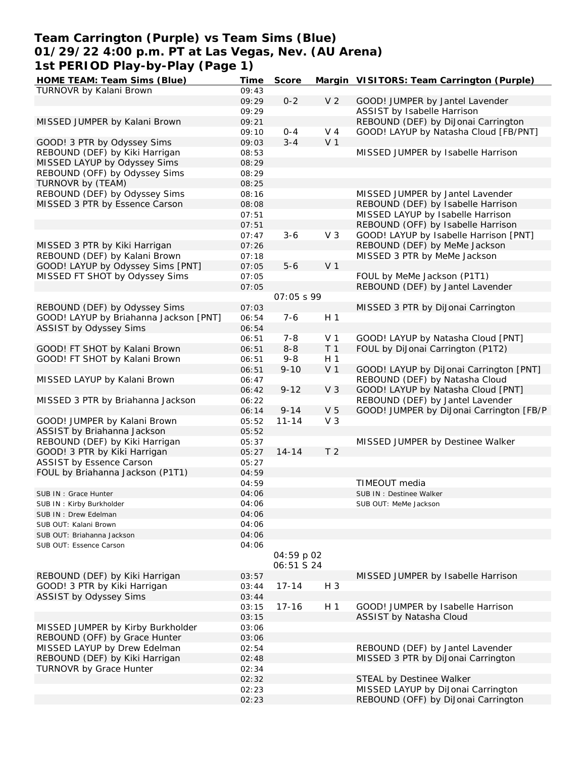## **Team Carrington (Purple) vs Team Sims (Blue) 01/29/22 4:00 p.m. PT at Las Vegas, Nev. (AU Arena) 1st PERIOD Play-by-Play (Page 1)**

| HOME TEAM: Team Sims (Blue)            | Time  | Score             |                | Margin VISITORS: Team Carrington (Purple) |
|----------------------------------------|-------|-------------------|----------------|-------------------------------------------|
| TURNOVR by Kalani Brown                | 09:43 |                   |                |                                           |
|                                        | 09:29 | $0 - 2$           | V <sub>2</sub> | GOOD! JUMPER by Jantel Lavender           |
|                                        | 09:29 |                   |                | ASSIST by Isabelle Harrison               |
| MISSED JUMPER by Kalani Brown          | 09:21 |                   |                | REBOUND (DEF) by DiJonai Carrington       |
|                                        | 09:10 | $0 - 4$           | V <sub>4</sub> | GOOD! LAYUP by Natasha Cloud [FB/PNT]     |
| GOOD! 3 PTR by Odyssey Sims            | 09:03 | $3 - 4$           | V <sub>1</sub> |                                           |
| REBOUND (DEF) by Kiki Harrigan         | 08:53 |                   |                | MISSED JUMPER by Isabelle Harrison        |
| MISSED LAYUP by Odyssey Sims           | 08:29 |                   |                |                                           |
| REBOUND (OFF) by Odyssey Sims          | 08:29 |                   |                |                                           |
| TURNOVR by (TEAM)                      | 08:25 |                   |                |                                           |
| REBOUND (DEF) by Odyssey Sims          | 08:16 |                   |                | MISSED JUMPER by Jantel Lavender          |
| MISSED 3 PTR by Essence Carson         | 08:08 |                   |                | REBOUND (DEF) by Isabelle Harrison        |
|                                        | 07:51 |                   |                | MISSED LAYUP by Isabelle Harrison         |
|                                        | 07:51 |                   |                | REBOUND (OFF) by Isabelle Harrison        |
|                                        |       | $3 - 6$           | V <sub>3</sub> | GOOD! LAYUP by Isabelle Harrison [PNT]    |
|                                        | 07:47 |                   |                |                                           |
| MISSED 3 PTR by Kiki Harrigan          | 07:26 |                   |                | REBOUND (DEF) by MeMe Jackson             |
| REBOUND (DEF) by Kalani Brown          | 07:18 |                   |                | MISSED 3 PTR by MeMe Jackson              |
| GOOD! LAYUP by Odyssey Sims [PNT]      | 07:05 | $5 - 6$           | V <sub>1</sub> |                                           |
| MISSED FT SHOT by Odyssey Sims         | 07:05 |                   |                | FOUL by MeMe Jackson (P1T1)               |
|                                        | 07:05 |                   |                | REBOUND (DEF) by Jantel Lavender          |
|                                        |       | 07:05 \$ 99       |                |                                           |
| REBOUND (DEF) by Odyssey Sims          | 07:03 |                   |                | MISSED 3 PTR by DiJonai Carrington        |
| GOOD! LAYUP by Briahanna Jackson [PNT] | 06:54 | $7 - 6$           | H <sub>1</sub> |                                           |
| ASSIST by Odyssey Sims                 | 06:54 |                   |                |                                           |
|                                        | 06:51 | $7 - 8$           | V <sub>1</sub> | GOOD! LAYUP by Natasha Cloud [PNT]        |
| GOOD! FT SHOT by Kalani Brown          | 06:51 | $8 - 8$           | T <sub>1</sub> | FOUL by DiJonai Carrington (P1T2)         |
| GOOD! FT SHOT by Kalani Brown          | 06:51 | $9 - 8$           | H <sub>1</sub> |                                           |
|                                        | 06:51 | $9 - 10$          | V <sub>1</sub> | GOOD! LAYUP by DiJonai Carrington [PNT]   |
| MISSED LAYUP by Kalani Brown           | 06:47 |                   |                | REBOUND (DEF) by Natasha Cloud            |
|                                        | 06:42 | $9 - 12$          | V <sub>3</sub> | GOOD! LAYUP by Natasha Cloud [PNT]        |
| MISSED 3 PTR by Briahanna Jackson      | 06:22 |                   |                | REBOUND (DEF) by Jantel Lavender          |
|                                        | 06:14 | $9 - 14$          | V <sub>5</sub> | GOOD! JUMPER by DiJonai Carrington [FB/P  |
| GOOD! JUMPER by Kalani Brown           | 05:52 | $11 - 14$         | V <sub>3</sub> |                                           |
| ASSIST by Briahanna Jackson            | 05:52 |                   |                |                                           |
| REBOUND (DEF) by Kiki Harrigan         | 05:37 |                   |                | MISSED JUMPER by Destinee Walker          |
| GOOD! 3 PTR by Kiki Harrigan           | 05:27 | $14 - 14$         | T <sub>2</sub> |                                           |
| ASSIST by Essence Carson               | 05:27 |                   |                |                                           |
| FOUL by Briahanna Jackson (P1T1)       |       |                   |                |                                           |
|                                        | 04:59 |                   |                |                                           |
|                                        | 04:59 |                   |                | TIMEOUT media                             |
| SUB IN : Grace Hunter                  | 04:06 |                   |                | SUB IN : Destinee Walker                  |
| SUB IN: Kirby Burkholder               | 04:06 |                   |                | SUB OUT: MeMe Jackson                     |
| SUB IN: Drew Edelman                   | 04:06 |                   |                |                                           |
| SUB OUT: Kalani Brown                  | 04:06 |                   |                |                                           |
| SUB OUT: Briahanna Jackson             | 04:06 |                   |                |                                           |
| SUB OUT: Essence Carson                | 04:06 |                   |                |                                           |
|                                        |       | 04:59 p 02        |                |                                           |
|                                        |       | <i>06:51 S 24</i> |                |                                           |
| REBOUND (DEF) by Kiki Harrigan         | 03:57 |                   |                | MISSED JUMPER by Isabelle Harrison        |
| GOOD! 3 PTR by Kiki Harrigan           | 03:44 | $17 - 14$         | H 3            |                                           |
| ASSIST by Odyssey Sims                 | 03:44 |                   |                |                                           |
|                                        | 03:15 | $17 - 16$         | H 1            | GOOD! JUMPER by Isabelle Harrison         |
|                                        | 03:15 |                   |                | ASSIST by Natasha Cloud                   |
| MISSED JUMPER by Kirby Burkholder      | 03:06 |                   |                |                                           |
| REBOUND (OFF) by Grace Hunter          | 03:06 |                   |                |                                           |
| MISSED LAYUP by Drew Edelman           | 02:54 |                   |                | REBOUND (DEF) by Jantel Lavender          |
| REBOUND (DEF) by Kiki Harrigan         | 02:48 |                   |                | MISSED 3 PTR by DiJonai Carrington        |
| <b>TURNOVR by Grace Hunter</b>         | 02:34 |                   |                |                                           |
|                                        |       |                   |                |                                           |
|                                        | 02:32 |                   |                | STEAL by Destinee Walker                  |
|                                        | 02:23 |                   |                | MISSED LAYUP by DiJonai Carrington        |
|                                        | 02:23 |                   |                | REBOUND (OFF) by DiJonai Carrington       |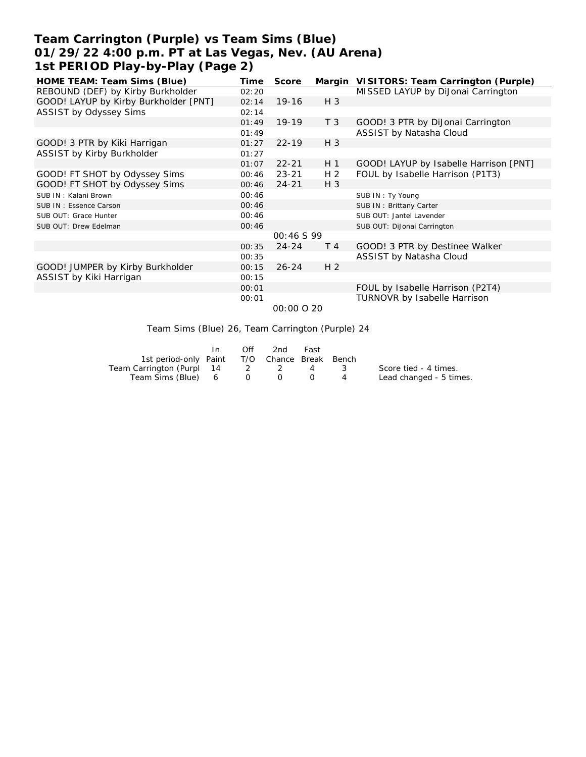# **Team Carrington (Purple) vs Team Sims (Blue) 01/29/22 4:00 p.m. PT at Las Vegas, Nev. (AU Arena) 1st PERIOD Play-by-Play (Page 2)**

| HOME TEAM: Team Sims (Blue)           | Time  | Score      |                | Margin VISITORS: Team Carrington (Purple) |
|---------------------------------------|-------|------------|----------------|-------------------------------------------|
| REBOUND (DEF) by Kirby Burkholder     | 02:20 |            |                | MISSED LAYUP by DiJonai Carrington        |
| GOOD! LAYUP by Kirby Burkholder [PNT] | 02:14 | $19-16$    | $H_3$          |                                           |
| ASSIST by Odyssey Sims                | 02:14 |            |                |                                           |
|                                       | 01:49 | $19-19$    | T <sub>3</sub> | GOOD! 3 PTR by DiJonai Carrington         |
|                                       | 01:49 |            |                | ASSIST by Natasha Cloud                   |
| GOOD! 3 PTR by Kiki Harrigan          | 01:27 | $22 - 19$  | $H_3$          |                                           |
| ASSIST by Kirby Burkholder            | 01:27 |            |                |                                           |
|                                       | 01:07 | $22 - 21$  | H <sub>1</sub> | GOOD! LAYUP by Isabelle Harrison [PNT]    |
| GOOD! FT SHOT by Odyssey Sims         | 00:46 | $23 - 21$  | H <sub>2</sub> | FOUL by Isabelle Harrison (P1T3)          |
| GOOD! FT SHOT by Odyssey Sims         | 00:46 | $24 - 21$  | $H_3$          |                                           |
| SUB IN: Kalani Brown                  | 00:46 |            |                | SUB IN: Ty Young                          |
| SUB IN: Essence Carson                | 00:46 |            |                | SUB IN: Brittany Carter                   |
| SUB OUT: Grace Hunter                 | 00:46 |            |                | SUB OUT: Jantel Lavender                  |
| SUB OUT: Drew Edelman                 | 00:46 |            |                | SUB OUT: DiJonai Carrington               |
|                                       |       | 00:46 S 99 |                |                                           |
|                                       | 00:35 | $24 - 24$  | T 4            | GOOD! 3 PTR by Destinee Walker            |
|                                       | 00:35 |            |                | ASSIST by Natasha Cloud                   |
| GOOD! JUMPER by Kirby Burkholder      | 00:15 | $26 - 24$  | H <sub>2</sub> |                                           |
| ASSIST by Kiki Harrigan               | 00:15 |            |                |                                           |
|                                       | 00:01 |            |                | FOUL by Isabelle Harrison (P2T4)          |
|                                       | 00:01 |            |                | TURNOVR by Isabelle Harrison              |
|                                       |       |            |                |                                           |

 *00:00 O 20*

Team Sims (Blue) 26, Team Carrington (Purple) 24

|                                              | Off | 2nd                                        | Fast |                |                         |
|----------------------------------------------|-----|--------------------------------------------|------|----------------|-------------------------|
| 1st period-only Paint T/O Chance Break Bench |     |                                            |      |                |                         |
| Team Carrington (Purpl 14 2 2 4              |     |                                            |      |                | Score tied - 4 times.   |
| Team Sims (Blue) 6                           |     | $\begin{array}{ccc} 0 & 0 & 0 \end{array}$ |      | $\overline{A}$ | Lead changed - 5 times. |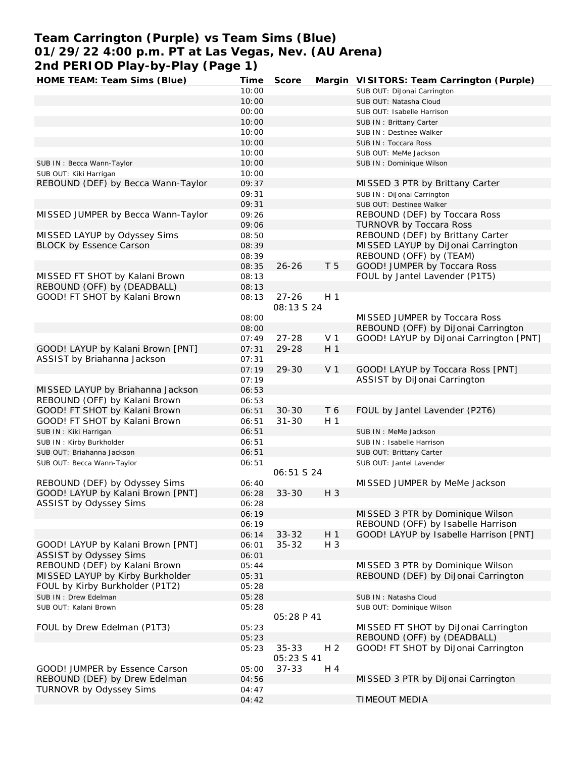# **Team Carrington (Purple) vs Team Sims (Blue) 01/29/22 4:00 p.m. PT at Las Vegas, Nev. (AU Arena) 2nd PERIOD Play-by-Play (Page 1)**

| HOME TEAM: Team Sims (Blue)        | Time  | Score             |                | Margin VISITORS: Team Carrington (Purple) |
|------------------------------------|-------|-------------------|----------------|-------------------------------------------|
|                                    | 10:00 |                   |                | SUB OUT: DiJonai Carrington               |
|                                    | 10:00 |                   |                | SUB OUT: Natasha Cloud                    |
|                                    | 00:00 |                   |                | SUB OUT: Isabelle Harrison                |
|                                    | 10:00 |                   |                | SUB IN: Brittany Carter                   |
|                                    | 10:00 |                   |                | SUB IN : Destinee Walker                  |
|                                    | 10:00 |                   |                | SUB IN: Toccara Ross                      |
|                                    | 10:00 |                   |                | SUB OUT: MeMe Jackson                     |
|                                    | 10:00 |                   |                |                                           |
| SUB IN: Becca Wann-Taylor          |       |                   |                | SUB IN: Dominique Wilson                  |
| SUB OUT: Kiki Harrigan             | 10:00 |                   |                |                                           |
| REBOUND (DEF) by Becca Wann-Taylor | 09:37 |                   |                | MISSED 3 PTR by Brittany Carter           |
|                                    | 09:31 |                   |                | SUB IN: DiJonai Carrington                |
|                                    | 09:31 |                   |                | SUB OUT: Destinee Walker                  |
| MISSED JUMPER by Becca Wann-Taylor | 09:26 |                   |                | REBOUND (DEF) by Toccara Ross             |
|                                    | 09:06 |                   |                | <b>TURNOVR by Toccara Ross</b>            |
| MISSED LAYUP by Odyssey Sims       | 08:50 |                   |                | REBOUND (DEF) by Brittany Carter          |
| <b>BLOCK by Essence Carson</b>     | 08:39 |                   |                | MISSED LAYUP by DiJonai Carrington        |
|                                    | 08:39 |                   |                | REBOUND (OFF) by (TEAM)                   |
|                                    | 08:35 | $26 - 26$         | T <sub>5</sub> | GOOD! JUMPER by Toccara Ross              |
| MISSED FT SHOT by Kalani Brown     | 08:13 |                   |                | FOUL by Jantel Lavender (P1T5)            |
| REBOUND (OFF) by (DEADBALL)        | 08:13 |                   |                |                                           |
| GOOD! FT SHOT by Kalani Brown      | 08:13 | $27 - 26$         | H <sub>1</sub> |                                           |
|                                    |       | 08:13 S 24        |                |                                           |
|                                    | 08:00 |                   |                | MISSED JUMPER by Toccara Ross             |
|                                    | 08:00 |                   |                | REBOUND (OFF) by DiJonai Carrington       |
|                                    | 07:49 | $27 - 28$         | V <sub>1</sub> | GOOD! LAYUP by DiJonai Carrington [PNT]   |
| GOOD! LAYUP by Kalani Brown [PNT]  | 07:31 | 29-28             | H <sub>1</sub> |                                           |
| ASSIST by Briahanna Jackson        | 07:31 |                   |                |                                           |
|                                    | 07:19 | 29-30             | V <sub>1</sub> | GOOD! LAYUP by Toccara Ross [PNT]         |
|                                    | 07:19 |                   |                | ASSIST by DiJonai Carrington              |
|                                    |       |                   |                |                                           |
| MISSED LAYUP by Briahanna Jackson  | 06:53 |                   |                |                                           |
| REBOUND (OFF) by Kalani Brown      | 06:53 |                   |                |                                           |
| GOOD! FT SHOT by Kalani Brown      | 06:51 | $30 - 30$         | T 6            | FOUL by Jantel Lavender (P2T6)            |
| GOOD! FT SHOT by Kalani Brown      | 06:51 | $31 - 30$         | H <sub>1</sub> |                                           |
| SUB IN: Kiki Harrigan              | 06:51 |                   |                | SUB IN : MeMe Jackson                     |
| SUB IN: Kirby Burkholder           | 06:51 |                   |                | SUB IN: Isabelle Harrison                 |
| SUB OUT: Briahanna Jackson         | 06:51 |                   |                | SUB OUT: Brittany Carter                  |
| SUB OUT: Becca Wann-Taylor         | 06:51 |                   |                | SUB OUT: Jantel Lavender                  |
|                                    |       | 06:51 S 24        |                |                                           |
| REBOUND (DEF) by Odyssey Sims      | 06:40 |                   |                | MISSED JUMPER by MeMe Jackson             |
| GOOD! LAYUP by Kalani Brown [PNT]  | 06:28 | $33 - 30$         | H 3            |                                           |
| ASSIST by Odyssey Sims             | 06:28 |                   |                |                                           |
|                                    | 06:19 |                   |                | MISSED 3 PTR by Dominique Wilson          |
|                                    | 06:19 |                   |                | REBOUND (OFF) by Isabelle Harrison        |
|                                    | 06:14 | $33 - 32$         | H <sub>1</sub> | GOOD! LAYUP by Isabelle Harrison [PNT]    |
| GOOD! LAYUP by Kalani Brown [PNT]  | 06:01 | $35 - 32$         | H 3            |                                           |
| ASSIST by Odyssey Sims             | 06:01 |                   |                |                                           |
| REBOUND (DEF) by Kalani Brown      | 05:44 |                   |                | MISSED 3 PTR by Dominique Wilson          |
| MISSED LAYUP by Kirby Burkholder   | 05:31 |                   |                | REBOUND (DEF) by DiJonai Carrington       |
| FOUL by Kirby Burkholder (P1T2)    | 05:28 |                   |                |                                           |
|                                    |       |                   |                |                                           |
| SUB IN : Drew Edelman              | 05:28 |                   |                | SUB IN: Natasha Cloud                     |
| SUB OUT: Kalani Brown              | 05:28 | 05:28 P 41        |                | SUB OUT: Dominique Wilson                 |
| FOUL by Drew Edelman (P1T3)        | 05:23 |                   |                | MISSED FT SHOT by DiJonai Carrington      |
|                                    | 05:23 |                   |                | REBOUND (OFF) by (DEADBALL)               |
|                                    | 05:23 | $35 - 33$         | H <sub>2</sub> | GOOD! FT SHOT by DiJonai Carrington       |
|                                    |       | <i>05:23 S 41</i> |                |                                           |
| GOOD! JUMPER by Essence Carson     | 05:00 | $37 - 33$         | H 4            |                                           |
| REBOUND (DEF) by Drew Edelman      | 04:56 |                   |                | MISSED 3 PTR by DiJonai Carrington        |
| TURNOVR by Odyssey Sims            | 04:47 |                   |                |                                           |
|                                    | 04:42 |                   |                | <b>TIMEOUT MEDIA</b>                      |
|                                    |       |                   |                |                                           |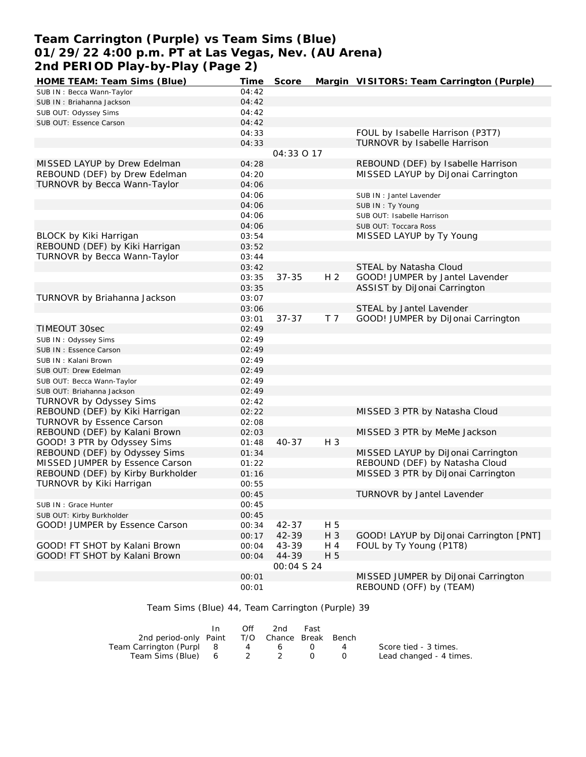# **Team Carrington (Purple) vs Team Sims (Blue) 01/29/22 4:00 p.m. PT at Las Vegas, Nev. (AU Arena) 2nd PERIOD Play-by-Play (Page 2)**

| HOME TEAM: Team Sims (Blue)       | Time  | Score      |                | Margin VISITORS: Team Carrington (Purple) |
|-----------------------------------|-------|------------|----------------|-------------------------------------------|
| SUB IN: Becca Wann-Taylor         | 04:42 |            |                |                                           |
| SUB IN: Briahanna Jackson         | 04:42 |            |                |                                           |
| SUB OUT: Odyssey Sims             | 04:42 |            |                |                                           |
| SUB OUT: Essence Carson           | 04:42 |            |                |                                           |
|                                   | 04:33 |            |                | FOUL by Isabelle Harrison (P3T7)          |
|                                   | 04:33 |            |                | TURNOVR by Isabelle Harrison              |
|                                   |       | 04:33 O 17 |                |                                           |
| MISSED LAYUP by Drew Edelman      | 04:28 |            |                | REBOUND (DEF) by Isabelle Harrison        |
| REBOUND (DEF) by Drew Edelman     | 04:20 |            |                | MISSED LAYUP by DiJonai Carrington        |
| TURNOVR by Becca Wann-Taylor      | 04:06 |            |                |                                           |
|                                   | 04:06 |            |                | SUB IN : Jantel Lavender                  |
|                                   | 04:06 |            |                | SUB IN: Ty Young                          |
|                                   | 04:06 |            |                |                                           |
|                                   | 04:06 |            |                | SUB OUT: Isabelle Harrison                |
|                                   |       |            |                | SUB OUT: Toccara Ross                     |
| BLOCK by Kiki Harrigan            | 03:54 |            |                | MISSED LAYUP by Ty Young                  |
| REBOUND (DEF) by Kiki Harrigan    | 03:52 |            |                |                                           |
| TURNOVR by Becca Wann-Taylor      | 03:44 |            |                |                                           |
|                                   | 03:42 |            |                | STEAL by Natasha Cloud                    |
|                                   | 03:35 | $37 - 35$  | H <sub>2</sub> | GOOD! JUMPER by Jantel Lavender           |
|                                   | 03:35 |            |                | ASSIST by DiJonai Carrington              |
| TURNOVR by Briahanna Jackson      | 03:07 |            |                |                                           |
|                                   | 03:06 |            |                | STEAL by Jantel Lavender                  |
|                                   | 03:01 | $37 - 37$  | T <sub>7</sub> | GOOD! JUMPER by DiJonai Carrington        |
| TIMEOUT 30sec                     | 02:49 |            |                |                                           |
| SUB IN: Odyssey Sims              | 02:49 |            |                |                                           |
| SUB IN: Essence Carson            | 02:49 |            |                |                                           |
| SUB IN: Kalani Brown              | 02:49 |            |                |                                           |
| SUB OUT: Drew Edelman             | 02:49 |            |                |                                           |
| SUB OUT: Becca Wann-Taylor        | 02:49 |            |                |                                           |
| SUB OUT: Briahanna Jackson        | 02:49 |            |                |                                           |
| TURNOVR by Odyssey Sims           | 02:42 |            |                |                                           |
| REBOUND (DEF) by Kiki Harrigan    | 02:22 |            |                | MISSED 3 PTR by Natasha Cloud             |
| <b>TURNOVR by Essence Carson</b>  | 02:08 |            |                |                                           |
| REBOUND (DEF) by Kalani Brown     | 02:03 |            |                | MISSED 3 PTR by MeMe Jackson              |
| GOOD! 3 PTR by Odyssey Sims       | 01:48 | $40 - 37$  | $H_3$          |                                           |
| REBOUND (DEF) by Odyssey Sims     | 01:34 |            |                | MISSED LAYUP by DiJonai Carrington        |
| MISSED JUMPER by Essence Carson   | 01:22 |            |                | REBOUND (DEF) by Natasha Cloud            |
| REBOUND (DEF) by Kirby Burkholder | 01:16 |            |                | MISSED 3 PTR by DiJonai Carrington        |
| TURNOVR by Kiki Harrigan          | 00:55 |            |                |                                           |
|                                   | 00:45 |            |                | TURNOVR by Jantel Lavender                |
| SUB IN: Grace Hunter              | 00:45 |            |                |                                           |
| SUB OUT: Kirby Burkholder         | 00:45 |            |                |                                           |
| GOOD! JUMPER by Essence Carson    | 00:34 | 42-37      | H 5            |                                           |
|                                   | 00:17 | 42-39      | H 3            | GOOD! LAYUP by DiJonai Carrington [PNT]   |
| GOOD! FT SHOT by Kalani Brown     | 00:04 | 43-39      | H 4            | FOUL by Ty Young (P1T8)                   |
|                                   |       | 44-39      | H 5            |                                           |
| GOOD! FT SHOT by Kalani Brown     | 00:04 | 00:04 S 24 |                |                                           |
|                                   |       |            |                |                                           |
|                                   | 00:01 |            |                | MISSED JUMPER by DiJonai Carrington       |
|                                   | 00:01 |            |                | REBOUND (OFF) by (TEAM)                   |

| Team Sims (Blue) 44, Team Carrington (Purple) 39 |  |  |
|--------------------------------------------------|--|--|
|--------------------------------------------------|--|--|

|                                              | In. | Off | 2nd | Fast |                |                         |
|----------------------------------------------|-----|-----|-----|------|----------------|-------------------------|
| 2nd period-only Paint T/O Chance Break Bench |     |     |     |      |                |                         |
| Team Carrington (Purpl 8                     |     |     | 4 6 |      | $\overline{4}$ | Score tied - 3 times.   |
| Team Sims (Blue) 6 2 2                       |     |     |     |      |                | Lead changed - 4 times. |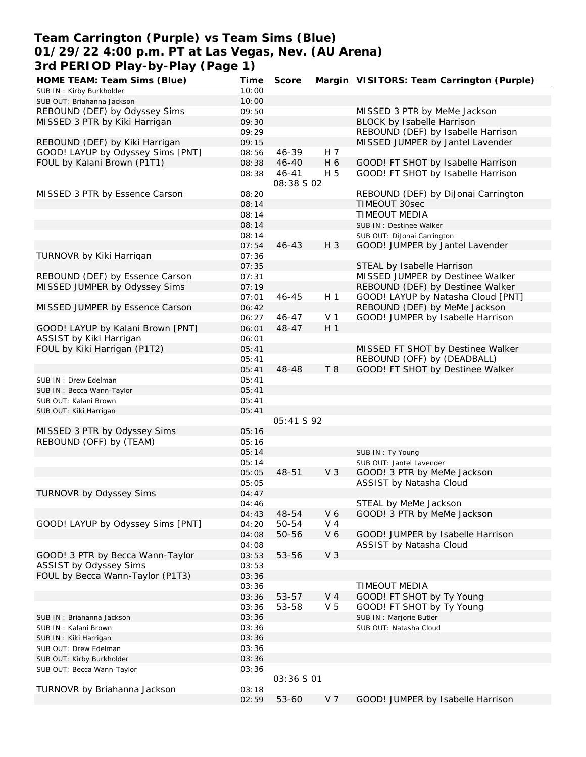## **Team Carrington (Purple) vs Team Sims (Blue) 01/29/22 4:00 p.m. PT at Las Vegas, Nev. (AU Arena) 3rd PERIOD Play-by-Play (Page 1)**

| HOME TEAM: Team Sims (Blue)       | Time  | Score      |                | Margin VISITORS: Team Carrington (Purple) |
|-----------------------------------|-------|------------|----------------|-------------------------------------------|
| SUB IN: Kirby Burkholder          | 10:00 |            |                |                                           |
| SUB OUT: Briahanna Jackson        | 10:00 |            |                |                                           |
| REBOUND (DEF) by Odyssey Sims     | 09:50 |            |                | MISSED 3 PTR by MeMe Jackson              |
| MISSED 3 PTR by Kiki Harrigan     | 09:30 |            |                | BLOCK by Isabelle Harrison                |
|                                   | 09:29 |            |                | REBOUND (DEF) by Isabelle Harrison        |
| REBOUND (DEF) by Kiki Harrigan    | 09:15 |            |                | MISSED JUMPER by Jantel Lavender          |
| GOOD! LAYUP by Odyssey Sims [PNT] | 08:56 | 46-39      | H 7            |                                           |
| FOUL by Kalani Brown (P1T1)       | 08:38 | $46 - 40$  | H 6            | GOOD! FT SHOT by Isabelle Harrison        |
|                                   |       | $46 - 41$  | H 5            | GOOD! FT SHOT by Isabelle Harrison        |
|                                   | 08:38 | 08:38 S 02 |                |                                           |
|                                   |       |            |                |                                           |
| MISSED 3 PTR by Essence Carson    | 08:20 |            |                | REBOUND (DEF) by DiJonai Carrington       |
|                                   | 08:14 |            |                | TIMEOUT 30sec                             |
|                                   | 08:14 |            |                | TIMEOUT MEDIA                             |
|                                   | 08:14 |            |                | SUB IN : Destinee Walker                  |
|                                   | 08:14 |            |                | SUB OUT: DiJonai Carrington               |
|                                   | 07:54 | $46 - 43$  | H 3            | GOOD! JUMPER by Jantel Lavender           |
| TURNOVR by Kiki Harrigan          | 07:36 |            |                |                                           |
|                                   | 07:35 |            |                | STEAL by Isabelle Harrison                |
| REBOUND (DEF) by Essence Carson   | 07:31 |            |                | MISSED JUMPER by Destinee Walker          |
| MISSED JUMPER by Odyssey Sims     | 07:19 |            |                | REBOUND (DEF) by Destinee Walker          |
|                                   | 07:01 | $46 - 45$  | H <sub>1</sub> | GOOD! LAYUP by Natasha Cloud [PNT]        |
| MISSED JUMPER by Essence Carson   | 06:42 |            |                | REBOUND (DEF) by MeMe Jackson             |
|                                   | 06:27 | $46 - 47$  | V <sub>1</sub> | GOOD! JUMPER by Isabelle Harrison         |
| GOOD! LAYUP by Kalani Brown [PNT] | 06:01 | $48 - 47$  | H <sub>1</sub> |                                           |
| ASSIST by Kiki Harrigan           | 06:01 |            |                |                                           |
| FOUL by Kiki Harrigan (P1T2)      | 05:41 |            |                | MISSED FT SHOT by Destinee Walker         |
|                                   | 05:41 |            |                | REBOUND (OFF) by (DEADBALL)               |
|                                   | 05:41 | 48-48      | T 8            | GOOD! FT SHOT by Destinee Walker          |
|                                   |       |            |                |                                           |
| SUB IN : Drew Edelman             | 05:41 |            |                |                                           |
| SUB IN: Becca Wann-Taylor         | 05:41 |            |                |                                           |
| SUB OUT: Kalani Brown             | 05:41 |            |                |                                           |
| SUB OUT: Kiki Harrigan            | 05:41 |            |                |                                           |
|                                   |       | 05:41 S 92 |                |                                           |
| MISSED 3 PTR by Odyssey Sims      | 05:16 |            |                |                                           |
| REBOUND (OFF) by (TEAM)           | 05:16 |            |                |                                           |
|                                   | 05:14 |            |                | SUB IN: Ty Young                          |
|                                   | 05:14 |            |                | SUB OUT: Jantel Lavender                  |
|                                   | 05:05 | 48-51      | V <sub>3</sub> | GOOD! 3 PTR by MeMe Jackson               |
|                                   | 05:05 |            |                | ASSIST by Natasha Cloud                   |
| TURNOVR by Odyssey Sims           | 04:47 |            |                |                                           |
|                                   | 04:46 |            |                | STEAL by MeMe Jackson                     |
|                                   | 04:43 | 48-54      | V6             | GOOD! 3 PTR by MeMe Jackson               |
| GOOD! LAYUP by Odyssey Sims [PNT] | 04:20 | 50-54      | V <sub>4</sub> |                                           |
|                                   | 04:08 | 50-56      | V 6            | GOOD! JUMPER by Isabelle Harrison         |
|                                   | 04:08 |            |                | ASSIST by Natasha Cloud                   |
| GOOD! 3 PTR by Becca Wann-Taylor  | 03:53 | 53-56      | V <sub>3</sub> |                                           |
| ASSIST by Odyssey Sims            | 03:53 |            |                |                                           |
| FOUL by Becca Wann-Taylor (P1T3)  | 03:36 |            |                |                                           |
|                                   |       |            |                |                                           |
|                                   | 03:36 |            |                | TIMEOUT MEDIA                             |
|                                   | 03:36 | 53-57      | $V_4$          | GOOD! FT SHOT by Ty Young                 |
|                                   | 03:36 | 53-58      | V <sub>5</sub> | GOOD! FT SHOT by Ty Young                 |
| SUB IN: Briahanna Jackson         | 03:36 |            |                | SUB IN: Marjorie Butler                   |
| SUB IN: Kalani Brown              | 03:36 |            |                | SUB OUT: Natasha Cloud                    |
| SUB IN: Kiki Harrigan             | 03:36 |            |                |                                           |
| SUB OUT: Drew Edelman             | 03:36 |            |                |                                           |
| SUB OUT: Kirby Burkholder         | 03:36 |            |                |                                           |
| SUB OUT: Becca Wann-Taylor        | 03:36 |            |                |                                           |
|                                   |       | 03:36 S 01 |                |                                           |
| TURNOVR by Briahanna Jackson      | 03:18 |            |                |                                           |
|                                   | 02:59 | 53-60      | V 7            | GOOD! JUMPER by Isabelle Harrison         |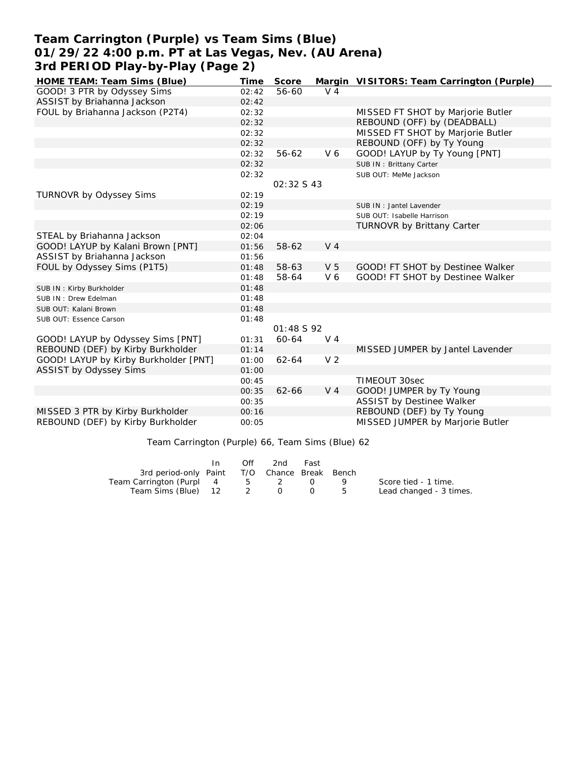# **Team Carrington (Purple) vs Team Sims (Blue) 01/29/22 4:00 p.m. PT at Las Vegas, Nev. (AU Arena) 3rd PERIOD Play-by-Play (Page 2)**

| HOME TEAM: Team Sims (Blue)           | Time  | Score      |                | Margin VISITORS: Team Carrington (Purple) |
|---------------------------------------|-------|------------|----------------|-------------------------------------------|
| GOOD! 3 PTR by Odyssey Sims           | 02:42 | 56-60      | $V_4$          |                                           |
| ASSIST by Briahanna Jackson           | 02:42 |            |                |                                           |
| FOUL by Briahanna Jackson (P2T4)      | 02:32 |            |                | MISSED FT SHOT by Marjorie Butler         |
|                                       | 02:32 |            |                | REBOUND (OFF) by (DEADBALL)               |
|                                       | 02:32 |            |                | MISSED FT SHOT by Marjorie Butler         |
|                                       | 02:32 |            |                | REBOUND (OFF) by Ty Young                 |
|                                       | 02:32 | 56-62      | V <sub>6</sub> | GOOD! LAYUP by Ty Young [PNT]             |
|                                       | 02:32 |            |                | SUB IN: Brittany Carter                   |
|                                       | 02:32 |            |                | SUB OUT: MeMe Jackson                     |
|                                       |       | 02:32 S 43 |                |                                           |
| TURNOVR by Odyssey Sims               | 02:19 |            |                |                                           |
|                                       | 02:19 |            |                | SUB IN: Jantel Lavender                   |
|                                       | 02:19 |            |                | SUB OUT: Isabelle Harrison                |
|                                       | 02:06 |            |                | <b>TURNOVR by Brittany Carter</b>         |
| STEAL by Briahanna Jackson            | 02:04 |            |                |                                           |
| GOOD! LAYUP by Kalani Brown [PNT]     | 01:56 | 58-62      | V <sub>4</sub> |                                           |
| ASSIST by Briahanna Jackson           | 01:56 |            |                |                                           |
| FOUL by Odyssey Sims (P1T5)           | 01:48 | 58-63      | V <sub>5</sub> | GOOD! FT SHOT by Destinee Walker          |
|                                       | 01:48 | 58-64      | V6             | GOOD! FT SHOT by Destinee Walker          |
| SUB IN: Kirby Burkholder              | 01:48 |            |                |                                           |
| SUB IN: Drew Edelman                  | 01:48 |            |                |                                           |
| SUB OUT: Kalani Brown                 | 01:48 |            |                |                                           |
| SUB OUT: Essence Carson               | 01:48 |            |                |                                           |
|                                       |       | 01:48 S 92 |                |                                           |
| GOOD! LAYUP by Odyssey Sims [PNT]     | 01:31 | 60-64      | $V_4$          |                                           |
| REBOUND (DEF) by Kirby Burkholder     | 01:14 |            |                | MISSED JUMPER by Jantel Lavender          |
| GOOD! LAYUP by Kirby Burkholder [PNT] | 01:00 | $62 - 64$  | V <sub>2</sub> |                                           |
| ASSIST by Odyssey Sims                | 01:00 |            |                |                                           |
|                                       | 00:45 |            |                | TIMEOUT 30sec                             |
|                                       | 00:35 | $62 - 66$  | V <sub>4</sub> | GOOD! JUMPER by Ty Young                  |
|                                       | 00:35 |            |                | ASSIST by Destinee Walker                 |
| MISSED 3 PTR by Kirby Burkholder      | 00:16 |            |                | REBOUND (DEF) by Ty Young                 |
| REBOUND (DEF) by Kirby Burkholder     | 00:05 |            |                | MISSED JUMPER by Marjorie Butler          |

Team Carrington (Purple) 66, Team Sims (Blue) 62

|                                              | Off | 2nd | Fast |                         |
|----------------------------------------------|-----|-----|------|-------------------------|
| 3rd period-only Paint T/O Chance Break Bench |     |     |      |                         |
| Team Carrington (Purpl 4                     |     | 5 2 |      | Score tied - 1 time.    |
| Team Sims (Blue) 12 2 0                      |     |     |      | Lead changed - 3 times. |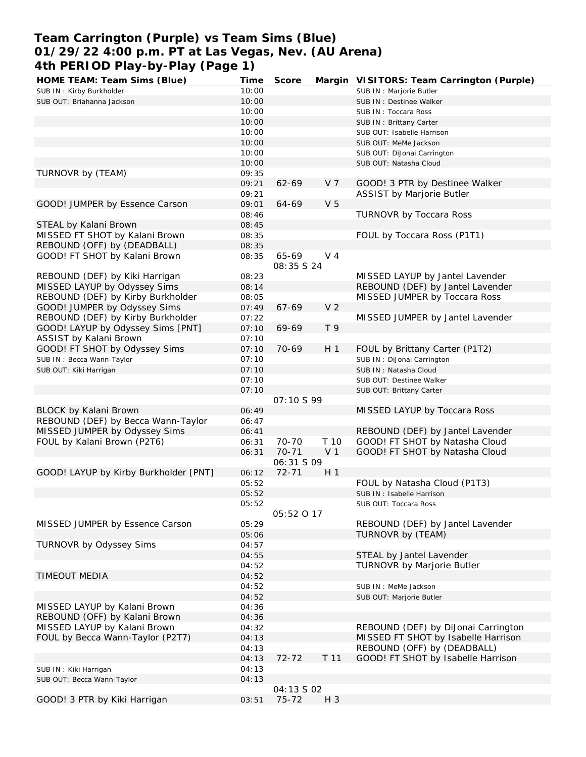# **Team Carrington (Purple) vs Team Sims (Blue) 01/29/22 4:00 p.m. PT at Las Vegas, Nev. (AU Arena) 4th PERIOD Play-by-Play (Page 1)**

| HOME TEAM: Team Sims (Blue)           | Time  | Score             |                | Margin VISITORS: Team Carrington (Purple) |
|---------------------------------------|-------|-------------------|----------------|-------------------------------------------|
| SUB IN: Kirby Burkholder              | 10:00 |                   |                | SUB IN : Marjorie Butler                  |
| SUB OUT: Briahanna Jackson            | 10:00 |                   |                | SUB IN : Destinee Walker                  |
|                                       | 10:00 |                   |                | SUB IN: Toccara Ross                      |
|                                       | 10:00 |                   |                | SUB IN: Brittany Carter                   |
|                                       | 10:00 |                   |                | SUB OUT: Isabelle Harrison                |
|                                       | 10:00 |                   |                | SUB OUT: MeMe Jackson                     |
|                                       | 10:00 |                   |                | SUB OUT: DiJonai Carrington               |
|                                       | 10:00 |                   |                | SUB OUT: Natasha Cloud                    |
|                                       |       |                   |                |                                           |
| TURNOVR by (TEAM)                     | 09:35 |                   |                |                                           |
|                                       | 09:21 | 62-69             | V 7            | GOOD! 3 PTR by Destinee Walker            |
|                                       | 09:21 |                   |                | <b>ASSIST by Marjorie Butler</b>          |
| GOOD! JUMPER by Essence Carson        | 09:01 | 64-69             | V <sub>5</sub> |                                           |
|                                       | 08:46 |                   |                | TURNOVR by Toccara Ross                   |
| STEAL by Kalani Brown                 | 08:45 |                   |                |                                           |
| MISSED FT SHOT by Kalani Brown        | 08:35 |                   |                | FOUL by Toccara Ross (P1T1)               |
| REBOUND (OFF) by (DEADBALL)           | 08:35 |                   |                |                                           |
| GOOD! FT SHOT by Kalani Brown         | 08:35 | 65-69             | V 4            |                                           |
|                                       |       | 08:35 S 24        |                |                                           |
| REBOUND (DEF) by Kiki Harrigan        | 08:23 |                   |                | MISSED LAYUP by Jantel Lavender           |
| MISSED LAYUP by Odyssey Sims          | 08:14 |                   |                | REBOUND (DEF) by Jantel Lavender          |
| REBOUND (DEF) by Kirby Burkholder     | 08:05 |                   |                | MISSED JUMPER by Toccara Ross             |
| GOOD! JUMPER by Odyssey Sims          | 07:49 | 67-69             | V <sub>2</sub> |                                           |
|                                       |       |                   |                |                                           |
| REBOUND (DEF) by Kirby Burkholder     | 07:22 |                   |                | MISSED JUMPER by Jantel Lavender          |
| GOOD! LAYUP by Odyssey Sims [PNT]     | 07:10 | 69-69             | T <sub>9</sub> |                                           |
| ASSIST by Kalani Brown                | 07:10 |                   |                |                                           |
| GOOD! FT SHOT by Odyssey Sims         | 07:10 | 70-69             | H <sub>1</sub> | FOUL by Brittany Carter (P1T2)            |
| SUB IN: Becca Wann-Taylor             | 07:10 |                   |                | SUB IN: DiJonai Carrington                |
| SUB OUT: Kiki Harrigan                | 07:10 |                   |                | SUB IN: Natasha Cloud                     |
|                                       | 07:10 |                   |                | SUB OUT: Destinee Walker                  |
|                                       | 07:10 |                   |                | SUB OUT: Brittany Carter                  |
|                                       |       | 07:10 S 99        |                |                                           |
| BLOCK by Kalani Brown                 | 06:49 |                   |                | MISSED LAYUP by Toccara Ross              |
| REBOUND (DEF) by Becca Wann-Taylor    | 06:47 |                   |                |                                           |
| MISSED JUMPER by Odyssey Sims         | 06:41 |                   |                | REBOUND (DEF) by Jantel Lavender          |
| FOUL by Kalani Brown (P2T6)           | 06:31 | 70-70             | T 10           |                                           |
|                                       |       |                   |                | GOOD! FT SHOT by Natasha Cloud            |
|                                       | 06:31 | $70 - 71$         | V <sub>1</sub> | GOOD! FT SHOT by Natasha Cloud            |
|                                       |       | 06:31 S 09        |                |                                           |
| GOOD! LAYUP by Kirby Burkholder [PNT] | 06:12 | $72 - 71$         | H <sub>1</sub> |                                           |
|                                       | 05:52 |                   |                | FOUL by Natasha Cloud (P1T3)              |
|                                       | 05:52 |                   |                | SUB IN: Isabelle Harrison                 |
|                                       | 05:52 |                   |                | SUB OUT: Toccara Ross                     |
|                                       |       | 05:52 0 17        |                |                                           |
| MISSED JUMPER by Essence Carson       | 05:29 |                   |                | REBOUND (DEF) by Jantel Lavender          |
|                                       | 05:06 |                   |                | TURNOVR by (TEAM)                         |
| TURNOVR by Odyssey Sims               | 04:57 |                   |                |                                           |
|                                       | 04:55 |                   |                | STEAL by Jantel Lavender                  |
|                                       | 04:52 |                   |                | TURNOVR by Marjorie Butler                |
| TIMEOUT MEDIA                         | 04:52 |                   |                |                                           |
|                                       |       |                   |                |                                           |
|                                       | 04:52 |                   |                | SUB IN : MeMe Jackson                     |
|                                       | 04:52 |                   |                | SUB OUT: Marjorie Butler                  |
| MISSED LAYUP by Kalani Brown          | 04:36 |                   |                |                                           |
| REBOUND (OFF) by Kalani Brown         | 04:36 |                   |                |                                           |
| MISSED LAYUP by Kalani Brown          | 04:32 |                   |                | REBOUND (DEF) by DiJonai Carrington       |
| FOUL by Becca Wann-Taylor (P2T7)      | 04:13 |                   |                | MISSED FT SHOT by Isabelle Harrison       |
|                                       | 04:13 |                   |                | REBOUND (OFF) by (DEADBALL)               |
|                                       | 04:13 | $72 - 72$         | T 11           | GOOD! FT SHOT by Isabelle Harrison        |
| SUB IN: Kiki Harrigan                 | 04:13 |                   |                |                                           |
| SUB OUT: Becca Wann-Taylor            | 04:13 |                   |                |                                           |
|                                       |       | <i>04:13 S 02</i> |                |                                           |
| GOOD! 3 PTR by Kiki Harrigan          | 03:51 | 75-72             | H 3            |                                           |
|                                       |       |                   |                |                                           |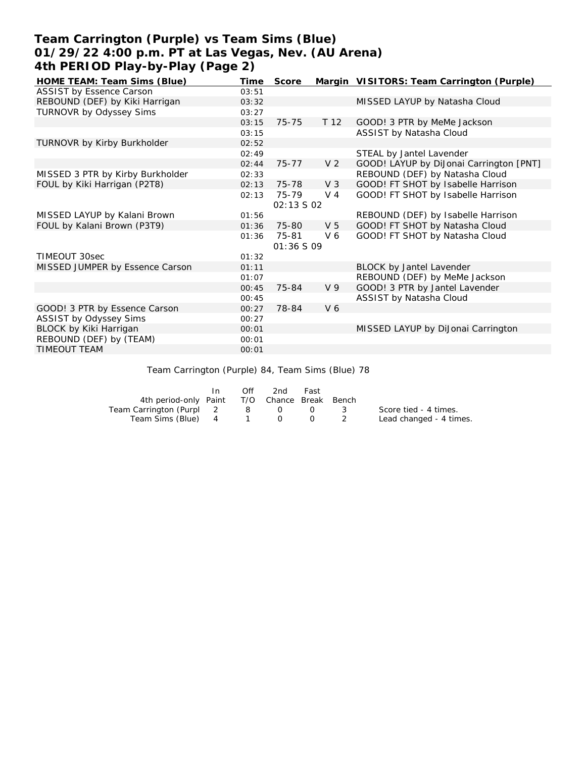# **Team Carrington (Purple) vs Team Sims (Blue) 01/29/22 4:00 p.m. PT at Las Vegas, Nev. (AU Arena) 4th PERIOD Play-by-Play (Page 2)**

| HOME TEAM: Team Sims (Blue)      | Time  | Score      |                 | Margin VISITORS: Team Carrington (Purple) |
|----------------------------------|-------|------------|-----------------|-------------------------------------------|
| ASSIST by Essence Carson         | 03:51 |            |                 |                                           |
| REBOUND (DEF) by Kiki Harrigan   | 03:32 |            |                 | MISSED LAYUP by Natasha Cloud             |
| TURNOVR by Odyssey Sims          | 03:27 |            |                 |                                           |
|                                  | 03:15 | $75 - 75$  | T <sub>12</sub> | GOOD! 3 PTR by MeMe Jackson               |
|                                  | 03:15 |            |                 | ASSIST by Natasha Cloud                   |
| TURNOVR by Kirby Burkholder      | 02:52 |            |                 |                                           |
|                                  | 02:49 |            |                 | STEAL by Jantel Lavender                  |
|                                  | 02:44 | $75 - 77$  | V <sub>2</sub>  | GOOD! LAYUP by DiJonai Carrington [PNT]   |
| MISSED 3 PTR by Kirby Burkholder | 02:33 |            |                 | REBOUND (DEF) by Natasha Cloud            |
| FOUL by Kiki Harrigan (P2T8)     | 02:13 | 75-78      | $V_3$           | GOOD! FT SHOT by Isabelle Harrison        |
|                                  | 02:13 | 75-79      | V 4             | GOOD! FT SHOT by Isabelle Harrison        |
|                                  |       | 02:13 S 02 |                 |                                           |
| MISSED LAYUP by Kalani Brown     | 01:56 |            |                 | REBOUND (DEF) by Isabelle Harrison        |
| FOUL by Kalani Brown (P3T9)      | 01:36 | 75-80      | V <sub>5</sub>  | GOOD! FT SHOT by Natasha Cloud            |
|                                  | 01:36 | 75-81      | V6              | GOOD! FT SHOT by Natasha Cloud            |
|                                  |       | 01:36S09   |                 |                                           |
| TIMEOUT 30sec                    | 01:32 |            |                 |                                           |
| MISSED JUMPER by Essence Carson  | 01:11 |            |                 | <b>BLOCK by Jantel Lavender</b>           |
|                                  | 01:07 |            |                 | REBOUND (DEF) by MeMe Jackson             |
|                                  | 00:45 | 75-84      | V <sub>9</sub>  | GOOD! 3 PTR by Jantel Lavender            |
|                                  | 00:45 |            |                 | ASSIST by Natasha Cloud                   |
| GOOD! 3 PTR by Essence Carson    | 00:27 | 78-84      | V <sub>6</sub>  |                                           |
| ASSIST by Odyssey Sims           | 00:27 |            |                 |                                           |
| BLOCK by Kiki Harrigan           | 00:01 |            |                 | MISSED LAYUP by DiJonai Carrington        |
| REBOUND (DEF) by (TEAM)          | 00:01 |            |                 |                                           |
| TIMEOUT TEAM                     | 00:01 |            |                 |                                           |

Team Carrington (Purple) 84, Team Sims (Blue) 78

|                                              | Off | 2nd | Fast   |               |                         |
|----------------------------------------------|-----|-----|--------|---------------|-------------------------|
| 4th period-only Paint T/O Chance Break Bench |     |     |        |               |                         |
| Team Carrington (Purpl 2 8 0 0               |     |     |        | $\mathcal{R}$ | Score tied - 4 times.   |
| Team Sims (Blue) 4 1 0                       |     |     | $\cup$ |               | Lead changed - 4 times. |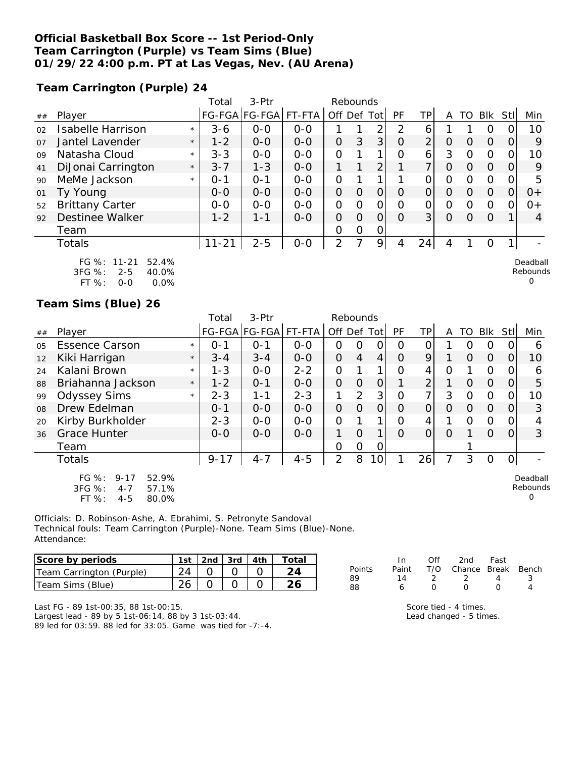### **Official Basketball Box Score -- 1st Period-Only Team Carrington (Purple) vs Team Sims (Blue) 01/29/22 4:00 p.m. PT at Las Vegas, Nev. (AU Arena)**

**Team Carrington (Purple) 24**

|                |                                                               |         | Total     | 3-Ptr                 |         | Rebounds       |   |                |          |                |   |    |                |     |                      |
|----------------|---------------------------------------------------------------|---------|-----------|-----------------------|---------|----------------|---|----------------|----------|----------------|---|----|----------------|-----|----------------------|
| ##             | Player                                                        |         |           | FG-FGA FG-FGA  FT-FTA |         | Off Def        |   | Totl           | PF       | TP             | A | TO | Blk            | Stl | Min                  |
| 02             | Isabelle Harrison                                             | $\star$ | $3 - 6$   | $0-0$                 | $0-0$   |                |   | $\overline{2}$ | っ        | 6              |   |    | Ο              |     | 10                   |
| O <sub>7</sub> | Jantel Lavender                                               | $\star$ | $1 - 2$   | $0 - 0$               | $0 - 0$ | $\Omega$       | 3 | 3              | $\circ$  | $\overline{2}$ | 0 | Ω  | $\Omega$       | 0   | 9                    |
| 09             | Natasha Cloud                                                 | $\star$ | $3 - 3$   | $0-0$                 | $0 - 0$ | 0              |   | 1              | 0        | 6              | 3 | Ω  | $\overline{O}$ |     | 10                   |
| 41             | DiJonai Carrington                                            | $\star$ | $3 - 7$   | $1 - 3$               | $0 - 0$ |                |   | $\overline{2}$ |          | ⇁              | 0 | Ω  | $\Omega$       | 0   | 9                    |
| 90             | MeMe Jackson                                                  | $\star$ | $O - 1$   | $O - 1$               | $0-0$   | 0              |   | 1              |          | ი              | 0 | Ω  | 0              | Ω   | 5                    |
| 01             | Ty Young                                                      |         | $O-O$     | $0 - 0$               | $0 - 0$ | 0              | O | 0              | $\Omega$ | 0              | 0 | Ω  | $\Omega$       | Ω   | $0+$                 |
| 52             | <b>Brittany Carter</b>                                        |         | $0 - 0$   | $0 - 0$               | $0 - 0$ | $\overline{O}$ | Ω | 0              | Ω        | 0              | ი | Ω  | 0              |     | $0+$                 |
| 92             | <b>Destinee Walker</b>                                        |         | $1 - 2$   | $1 - 1$               | $0 - 0$ | $\overline{O}$ | O | 0              | $\Omega$ | 3 <sub>l</sub> | 0 | Ω  | $\Omega$       |     | 4                    |
|                | Team                                                          |         |           |                       |         | O              | 0 | 0              |          |                |   |    |                |     |                      |
|                | Totals                                                        |         | $11 - 21$ | $2 - 5$               | $O-O$   | 2              |   | 9              | 4        | 24             | 4 |    | O              |     |                      |
|                | $FG \%$ :<br>52.4%<br>$11 - 21$<br>3FG %:<br>$2 - 5$<br>40.0% |         |           |                       |         |                |   |                |          |                |   |    |                |     | Deadball<br>Rebounds |

| . U 70. | . - <i>.</i> | . JZ. TV |
|---------|--------------|----------|
| 3FG %:  | $2 - 5$      | 40.0%    |
| FT %:   | ೧-೧          | $0.0\%$  |

**Team Sims (Blue) 26**

|                |                                                                                              |         | Total    | 3-Ptr         |         | Rebounds       |                |                |          |                |          |          |          |                  |                           |
|----------------|----------------------------------------------------------------------------------------------|---------|----------|---------------|---------|----------------|----------------|----------------|----------|----------------|----------|----------|----------|------------------|---------------------------|
| ##             | Player                                                                                       |         |          | FG-FGA FG-FGA | FT-FTA  | Off Def Tot    |                |                | PF       | TPI            | A        | TO       | Blk      | StII             | Min                       |
| 0 <sub>5</sub> | <b>Essence Carson</b>                                                                        | $\star$ | $O - 1$  | $O - 1$       | $0 - 0$ | 0              | 0              | 0              | O        | 0              |          | $\left($ | 0        | $\left( \right)$ | 6                         |
| 12             | Kiki Harrigan                                                                                | $\star$ | $3 - 4$  | $3 - 4$       | $0-0$   | $\Omega$       | $\overline{4}$ | $\overline{4}$ | $\Omega$ | 9              |          | $\Omega$ | $\Omega$ | $\Omega$         | 10                        |
| 24             | Kalani Brown                                                                                 | $\star$ | $1 - 3$  | $0 - 0$       | $2 - 2$ | 0              |                |                | Ο        | 4              | O        |          | $\Omega$ | $\Omega$         | 6                         |
| 88             | Briahanna Jackson                                                                            | $\star$ | $1 - 2$  | $O - 1$       | $0 - 0$ | $\mathcal{O}$  | $\Omega$       | 0              |          | $\overline{2}$ |          | $\Omega$ | $\Omega$ | 0                | 5                         |
| 99             | <b>Odyssey Sims</b>                                                                          | $\star$ | $2 - 3$  | $1 - 1$       | $2 - 3$ | 1              | $\overline{2}$ | 3              | O        | 7 <sub>1</sub> | 3        | 0        | $\Omega$ | $\Omega$         | 10                        |
| 08             | Drew Edelman                                                                                 |         | $0 - 1$  | $0 - 0$       | $0 - 0$ | $\Omega$       | $\overline{O}$ | $\overline{O}$ | $\Omega$ | $\Omega$       | $\Omega$ | 0        | $\Omega$ | 0                | 3                         |
| 20             | Kirby Burkholder                                                                             |         | $2 - 3$  | $0 - 0$       | $0-0$   | $\Omega$       |                |                | Ω        | 4              |          | $\Omega$ | $\circ$  | 0                |                           |
| 36             | <b>Grace Hunter</b>                                                                          |         | $0 - 0$  | $0 - 0$       | $0 - 0$ | 1              | $\Omega$       |                | $\Omega$ | 0              | $\Omega$ |          | $\Omega$ | 0                | 3                         |
|                | Team                                                                                         |         |          |               |         | $\overline{O}$ | $\Omega$       | 0              |          |                |          |          |          |                  |                           |
|                | <b>Totals</b>                                                                                |         | $9 - 17$ | $4 - 7$       | $4 - 5$ | $\overline{2}$ | 8              | 10             |          | 26             | 7        | 3        | $\circ$  | $\Omega$         |                           |
|                | FG $%$ :<br>$9 - 17$<br>52.9%<br>$3FG \%$<br>57.1%<br>$4 - 7$<br>$FT$ %:<br>$4 - 5$<br>80.0% |         |          |               |         |                |                |                |          |                |          |          |          |                  | Deadball<br>Rebounds<br>Ω |

Officials: D. Robinson-Ashe, A. Ebrahimi, S. Petronyte Sandoval Technical fouls: Team Carrington (Purple)-None. Team Sims (Blue)-None. Attendance:

| Score by periods         | 1st | 2nd $\vert$ 3rd $\vert$ $\vert$ | 4th | Total |
|--------------------------|-----|---------------------------------|-----|-------|
| Team Carrington (Purple) |     |                                 |     |       |
| Team Sims (Blue)         |     |                                 |     |       |

|        | In. | Off              | 2nd                          | Fast             |     |
|--------|-----|------------------|------------------------------|------------------|-----|
| Points |     |                  | Paint T/O Chance Break Bench |                  |     |
| 89     | 14  | $\mathcal{L}$    | $\overline{2}$               | 4                | - 3 |
| 88     | 6   | $\left( \right)$ | $\left( \right)$             | $\left( \right)$ |     |
|        |     |                  |                              |                  |     |

Score tied - 4 times. Lead changed - 5 times. 0

Last FG - 89 1st-00:35, 88 1st-00:15. Largest lead - 89 by 5 1st-06:14, 88 by 3 1st-03:44.

89 led for 03:59. 88 led for 33:05. Game was tied for -7:-4.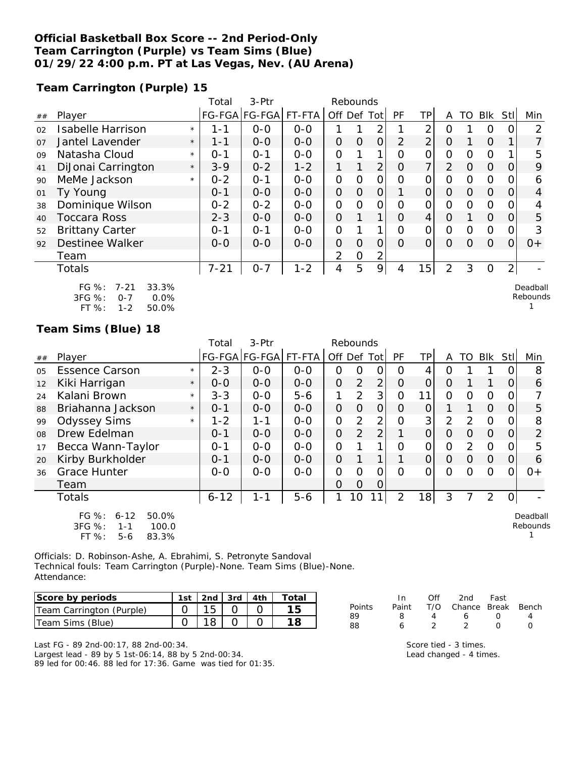### **Official Basketball Box Score -- 2nd Period-Only Team Carrington (Purple) vs Team Sims (Blue) 01/29/22 4:00 p.m. PT at Las Vegas, Nev. (AU Arena)**

**Team Carrington (Purple) 15**

|    |                                                                                            |         | Total    | $3-Ptr$       | Rebounds |                |               |                |                |                |                |                |          |                |                    |
|----|--------------------------------------------------------------------------------------------|---------|----------|---------------|----------|----------------|---------------|----------------|----------------|----------------|----------------|----------------|----------|----------------|--------------------|
| ## | Player                                                                                     |         |          | FG-FGA FG-FGA | FT-FTA   | Off Def Tot    |               |                | <b>PF</b>      | TP             | A              | TO             | Blk      | Stll           | Min                |
| 02 | <b>Isabelle Harrison</b>                                                                   | $\star$ | 1-1      | $O-O$         | $O-O$    | 1              |               | $\overline{2}$ | 1              | $\overline{2}$ | Ω              | 1              | O        | O              | $\overline{2}$     |
| 07 | Jantel Lavender                                                                            | $\star$ | $1 - 1$  | $O-O$         | $O - O$  | $\mathcal{O}$  | $\Omega$      | $\overline{O}$ | 2              | $\overline{2}$ | $\Omega$       |                | $\Omega$ | 1              | 7                  |
| 09 | Natasha Cloud                                                                              | $\star$ | $0 - 1$  | $O - 1$       | $O-O$    | O              |               | 1              | $\overline{O}$ | 0              | 0              | 0              | O        |                | 5                  |
| 41 | DiJonai Carrington                                                                         | $\star$ | $3 - 9$  | $0 - 2$       | $1 - 2$  | 1              | 1             | $\overline{2}$ | $\overline{O}$ | 7              | 2              | $\overline{O}$ | $\Omega$ | $\mathcal{O}$  | 9                  |
| 90 | MeMe Jackson                                                                               | $\star$ | $0 - 2$  | $O - 1$       | $0-0$    | $\mathcal{O}$  | $\mathcal{O}$ | $\mathcal{O}$  | $\Omega$       | 0              | 0              | 0              | $\Omega$ | 0              | 6                  |
| 01 | Ty Young                                                                                   |         | $0 - 1$  | $O-O$         | $O - O$  | $\overline{O}$ | $\Omega$      | $\overline{O}$ | 1              | $\overline{O}$ | $\Omega$       | $\Omega$       | $\Omega$ | $\Omega$       | $\overline{4}$     |
| 38 | Dominique Wilson                                                                           |         | $0 - 2$  | $0 - 2$       | $O-O$    | O              | $\Omega$      | $\mathcal{O}$  | O              | 0              | 0              | 0              | $\Omega$ | 0              | 4                  |
| 40 | <b>Toccara Ross</b>                                                                        |         | $2 - 3$  | $O-O$         | $O-O$    | $\Omega$       | 1             | $\mathbf{1}$   | $\Omega$       | 4              | $\Omega$       |                | $\Omega$ | $\Omega$       | 5                  |
| 52 | <b>Brittany Carter</b>                                                                     |         | $0 - 1$  | $0 - 1$       | $O-O$    | O              | 1             | 1              | $\overline{O}$ | $\overline{O}$ | 0              | 0              | $\Omega$ | 0              | 3                  |
| 92 | <b>Destinee Walker</b>                                                                     |         | $O-O$    | $0-0$         | $O-O$    | $\overline{O}$ | $\Omega$      | $\overline{O}$ | $\Omega$       | $\overline{O}$ | $\Omega$       | $\Omega$       | $\Omega$ | $\overline{O}$ | $O +$              |
|    | Team                                                                                       |         |          |               |          | 2              | $\Omega$      | 2              |                |                |                |                |          |                |                    |
|    | <b>Totals</b>                                                                              |         | $7 - 21$ | $0 - 7$       | $1 - 2$  | 4              | 5             | 9              | 4              | 15             | $\overline{2}$ | 3              | O        | $\overline{2}$ |                    |
|    | 33.3%<br>$FG \%$ :<br>$7 - 21$<br>3FG %:<br>0.0%<br>$0 - 7$<br>$FT%$ :<br>$1 - 2$<br>50.0% |         |          |               |          |                |               |                |                |                |                |                |          |                | Deadbal<br>Rebound |

## **Team Sims (Blue) 18**

|    |                                                                                       |         | Total    | 3-Ptr         |          |                | Rebounds       |                |                |                |               |          |                |          |                      |
|----|---------------------------------------------------------------------------------------|---------|----------|---------------|----------|----------------|----------------|----------------|----------------|----------------|---------------|----------|----------------|----------|----------------------|
| ## | Player                                                                                |         |          | FG-FGA FG-FGA | $FT-FTA$ | Off Def        |                | Tot l          | PF             | TPI            | A             | TO       | Blk            | Stll     | Min                  |
| 05 | <b>Essence Carson</b>                                                                 | $\star$ | $2 - 3$  | $0 - 0$       | $0-0$    | 0              | Ο              |                | Ω              | 4              | Ο             |          |                |          | 8                    |
| 12 | Kiki Harrigan                                                                         | $\star$ | $0 - 0$  | $0 - 0$       | $0 - 0$  | $\overline{O}$ | 2              | 2 <sub>1</sub> | O              | $\overline{O}$ | $\Omega$      |          |                | O        | 6                    |
| 24 | Kalani Brown                                                                          | $\star$ | $3 - 3$  | $0-0$         | $5 - 6$  | 1              | $\overline{2}$ | 3              | O              | 11             | 0             | $\Omega$ | $\Omega$       |          |                      |
| 88 | Briahanna Jackson                                                                     | $\star$ | $0 - 1$  | $0-0$         | $0 - 0$  | $\overline{O}$ | $\overline{O}$ | 0              | O              | $\overline{O}$ |               |          | $\Omega$       |          | 5                    |
| 99 | <b>Odyssey Sims</b>                                                                   | $\star$ | $1 - 2$  | 1-1           | $0-0$    | 0              | $\overline{2}$ | $\overline{2}$ | O              | 3              | 2             | 2        | $\Omega$       |          | 8                    |
| 08 | Drew Edelman                                                                          |         | $0 - 1$  | $0 - 0$       | $O - O$  | $\Omega$       | 2              | $\overline{2}$ |                | $\overline{O}$ | $\Omega$      | 0        | $\Omega$       | $\Omega$ | $\overline{2}$       |
| 17 | Becca Wann-Taylor                                                                     |         | $0 - 1$  | $0 - 0$       | $0-0$    | 0              |                | 1              | Ω              | 0              | $\mathcal{O}$ | 2        | $\Omega$       |          | 5                    |
| 20 | Kirby Burkholder                                                                      |         | $0 - 1$  | $0 - 0$       | $0-0$    | $\Omega$       |                | 1.             |                | $\overline{O}$ | $\Omega$      | $\Omega$ | $\Omega$       | O        | 6                    |
| 36 | <b>Grace Hunter</b>                                                                   |         | $0-0$    | $0-0$         | $0 - 0$  | Ω              | $\Omega$       | Ω              | ∩              | 0              | 0             | ∩        | $\Omega$       |          | $0+$                 |
|    | Team                                                                                  |         |          |               |          | 0              | O              | Ő              |                |                |               |          |                |          |                      |
|    | Totals                                                                                |         | $6 - 12$ | $1 - 1$       | $5 - 6$  |                | 10             | 111            | $\overline{2}$ | 18             | 3             |          | $\overline{2}$ |          |                      |
|    | $FG \%$ :<br>$6 - 12$<br>50.0%<br>3FG %:<br>100.0<br>$1 - 1$<br>FT %:<br>83.3%<br>5-6 |         |          |               |          |                |                |                |                |                |               |          |                |          | Deadball<br>Rebounds |

Officials: D. Robinson-Ashe, A. Ebrahimi, S. Petronyte Sandoval Technical fouls: Team Carrington (Purple)-None. Team Sims (Blue)-None. Attendance:

| Score by periods         | 1st   2nd   3rd   4th |  | Total |
|--------------------------|-----------------------|--|-------|
| Team Carrington (Purple) |                       |  |       |
| Team Sims (Blue)         |                       |  |       |

Last FG - 89 2nd-00:17, 88 2nd-00:34. Largest lead - 89 by 5 1st-06:14, 88 by 5 2nd-00:34. 89 led for 00:46. 88 led for 17:36. Game was tied for 01:35.

|        | In In |               | Off 2nd Fast                 |                  |  |
|--------|-------|---------------|------------------------------|------------------|--|
| Points |       |               | Paint T/O Chance Break Bench |                  |  |
| 89     | 8     | 4             | 6.                           | $\left( \right)$ |  |
| 88     | 6     | $\mathcal{L}$ | $\mathcal{L}$                | $\left( \right)$ |  |

Score tied - 3 times. Lead changed - 4 times.  $\mathbf{II}$  $\mathsf{ls}$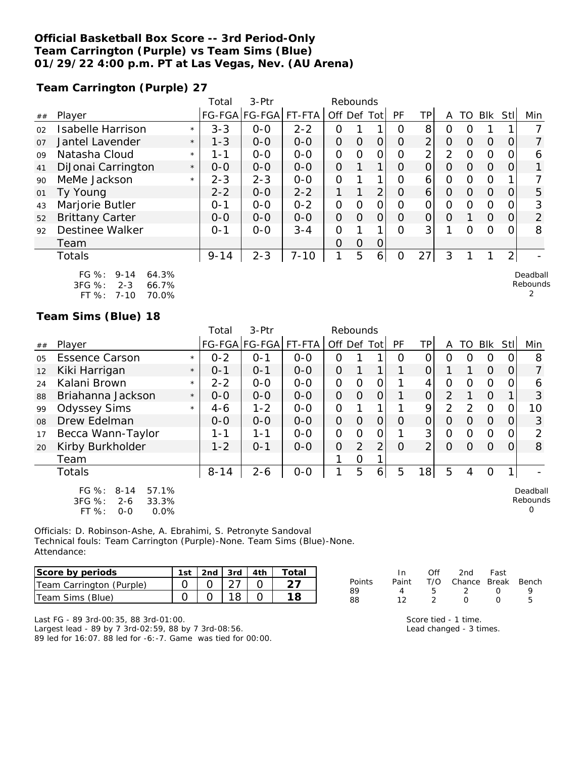### **Official Basketball Box Score -- 3rd Period-Only Team Carrington (Purple) vs Team Sims (Blue) 01/29/22 4:00 p.m. PT at Las Vegas, Nev. (AU Arena)**

**Team Carrington (Purple) 27**

|                |                                                                                              |         | Total    | 3-Ptr                |          | Rebounds       |              |                |          |                     |                |                |               |                |                           |
|----------------|----------------------------------------------------------------------------------------------|---------|----------|----------------------|----------|----------------|--------------|----------------|----------|---------------------|----------------|----------------|---------------|----------------|---------------------------|
| ##             | Player                                                                                       |         |          | FG-FGA FG-FGA FT-FTA |          | Off Def Tot    |              |                | PF       | ΤP                  | A              |                | TO BIK        | <b>Stll</b>    | Min                       |
| 02             | <b>Isabelle Harrison</b>                                                                     | $\star$ | $3 - 3$  | $0-0$                | $2 - 2$  | 0              |              |                | 0        | 8                   | 0              | O              |               |                |                           |
| O <sub>7</sub> | Jantel Lavender                                                                              | $\star$ | $1 - 3$  | $O-O$                | $O-O$    | $\overline{O}$ | $\Omega$     | 0              | $\Omega$ | $\overline{2}$      | $\overline{O}$ | $\Omega$       | $\Omega$      | 0              | $\overline{7}$            |
| 09             | Natasha Cloud                                                                                | $\star$ | 1-1      | $O-O$                | $O-O$    | 0              | O            | O              | 0        | $\overline{2}$      | $\overline{2}$ | $\overline{O}$ | $\mathcal{O}$ | O              | 6                         |
| 41             | DiJonai Carrington                                                                           | $\star$ | $0 - 0$  | $0 - 0$              | $0 - 0$  | $\overline{O}$ | $\mathbf{1}$ | $\mathbf 1$    | O        | 0                   | $\Omega$       | $\Omega$       | $\Omega$      | 0              |                           |
| 90             | MeMe Jackson                                                                                 | $\star$ | $2 - 3$  | $2 - 3$              | $0-0$    | $\overline{O}$ |              | $\mathbf{1}$   | 0        | 6                   | $\mathbf{O}$   | $\mathbf{O}$   | $\Omega$      |                |                           |
| 01             | Ty Young                                                                                     |         | $2 - 2$  | $0-0$                | $2 - 2$  | 1              | 1            | $\overline{2}$ | $\Omega$ | 6                   | $\Omega$       | $\Omega$       | $\Omega$      | 0              | 5                         |
| 43             | Marjorie Butler                                                                              |         | $0 - 1$  | $0-0$                | $0 - 2$  | 0              | O            | 0              | O        | 0                   | $\mathcal{O}$  | $\Omega$       | $\Omega$      |                | 3                         |
| 52             | <b>Brittany Carter</b>                                                                       |         | $O - O$  | $0-0$                | $0 - 0$  | $\overline{O}$ | $\Omega$     | $\overline{O}$ | O        | $\mathsf{O}\xspace$ | $\Omega$       |                | $\Omega$      | 0              | $\overline{2}$            |
| 92             | <b>Destinee Walker</b>                                                                       |         | $0 - 1$  | $0 - 0$              | $3 - 4$  | 0              |              | 1              | O        | 3                   |                | $\Omega$       | $\Omega$      |                | 8                         |
|                | Team                                                                                         |         |          |                      |          | $\Omega$       | 0            | O              |          |                     |                |                |               |                |                           |
|                | Totals                                                                                       |         | $9 - 14$ | $2 - 3$              | $7 - 10$ | 1              | 5            | $\overline{6}$ | $\Omega$ | 27                  | 3              |                |               | $\overline{2}$ |                           |
|                | $FG \%$ :<br>$9 - 14$<br>64.3%<br>3FG %:<br>$2 - 3$<br>66.7%<br>$FT%$ :<br>70.0%<br>$7 - 10$ |         |          |                      |          |                |              |                |          |                     |                |                |               |                | Deadball<br>Rebounds<br>2 |
|                | Team Sims (Blue) 18                                                                          |         |          |                      |          |                |              |                |          |                     |                |                |               |                |                           |

|    |                                                                                          |         | Total    | 3-Ptr                |         | Rebounds |          |                |          |                |                |                  |          |          |                                  |
|----|------------------------------------------------------------------------------------------|---------|----------|----------------------|---------|----------|----------|----------------|----------|----------------|----------------|------------------|----------|----------|----------------------------------|
| ## | Player                                                                                   |         |          | FG-FGA FG-FGA FT-FTA |         | Off Def  |          | Tot            | PF       | TP             | A              | TO               | Blk      | Stll     | Min                              |
| 05 | <b>Essence Carson</b>                                                                    | $\star$ | $0 - 2$  | $O - 1$              | $0 - 0$ | 0        |          |                | O        | 0              | O              | $\left( \right)$ | O        |          | 8                                |
| 12 | Kiki Harrigan                                                                            | $\star$ | $0 - 1$  | $0 - 1$              | $0-0$   | $\Omega$ |          |                |          | 0              |                |                  | $\Omega$ | $\Omega$ | $\overline{7}$                   |
| 24 | Kalani Brown                                                                             | $\star$ | $2 - 2$  | $0 - 0$              | $0 - 0$ | 0        | 0        | O              |          | 4              | 0              | $\Omega$         | $\Omega$ | Ω        | 6                                |
| 88 | Briahanna Jackson                                                                        | $\star$ | $0 - 0$  | $0 - 0$              | $0-0$   | $\Omega$ | $\Omega$ | $\Omega$       |          | $\overline{O}$ | 2              |                  | $\Omega$ |          | 3                                |
| 99 | <b>Odyssey Sims</b>                                                                      | $\star$ | $4 - 6$  | $1 - 2$              | $0 - 0$ | O        |          |                |          | 9              | $\overline{2}$ | 2                | $\Omega$ | O        | 10                               |
| 08 | Drew Edelman                                                                             |         | $0 - 0$  | $0 - 0$              | $0 - 0$ | $\Omega$ | $\Omega$ | $\Omega$       | $\Omega$ | $\Omega$       | $\Omega$       | $\Omega$         | $\Omega$ | $\Omega$ | 3                                |
| 17 | Becca Wann-Taylor                                                                        |         | $1 - 1$  | 1-1                  | $0-0$   | 0        | 0        | 0              |          | 3 <sup>1</sup> | $\Omega$       | $\Omega$         | $\Omega$ | O        | 2                                |
| 20 | Kirby Burkholder                                                                         |         | $1 - 2$  | $O - 1$              | $0 - 0$ | O        | 2        | $\overline{2}$ | $\Omega$ | $\overline{2}$ | $\Omega$       | $\Omega$         | $\Omega$ | $\Omega$ | 8                                |
|    | Team                                                                                     |         |          |                      |         |          | 0        |                |          |                |                |                  |          |          |                                  |
|    | <b>Totals</b>                                                                            |         | $8 - 14$ | $2 - 6$              | $O-O$   |          | 5        | 6              | 5        | 18             | 5              | 4                | $\Omega$ |          |                                  |
|    | $FG \%$ :<br>57.1%<br>$8 - 14$<br>3FG %:<br>33.3%<br>$2 - 6$<br>FT %:<br>0.0%<br>$0 - 0$ |         |          |                      |         |          |          |                |          |                |                |                  |          |          | Deadball<br>Rebounds<br>$\Omega$ |

Officials: D. Robinson-Ashe, A. Ebrahimi, S. Petronyte Sandoval Technical fouls: Team Carrington (Purple)-None. Team Sims (Blue)-None. Attendance:

| Score by periods         | 1st   2nd   3rd   4th |  | Total |
|--------------------------|-----------------------|--|-------|
| Team Carrington (Purple) |                       |  |       |
| Team Sims (Blue)         |                       |  |       |

|               | In.   | ∩ff | 2nd                    | Fast             |   |
|---------------|-------|-----|------------------------|------------------|---|
| <b>Points</b> | Paint |     | T/O Chance Break Bench |                  |   |
| 89            |       | ь.  |                        | $\left( \right)$ |   |
| 88            | 12    |     | $\left( \right)$       | $\left( \right)$ | h |
|               |       |     |                        |                  |   |

Last FG - 89 3rd-00:35, 88 3rd-01:00. Largest lead - 89 by 7 3rd-02:59, 88 by 7 3rd-08:56. 89 led for 16:07. 88 led for -6:-7. Game was tied for 00:00. Score tied - 1 time. Lead changed - 3 times.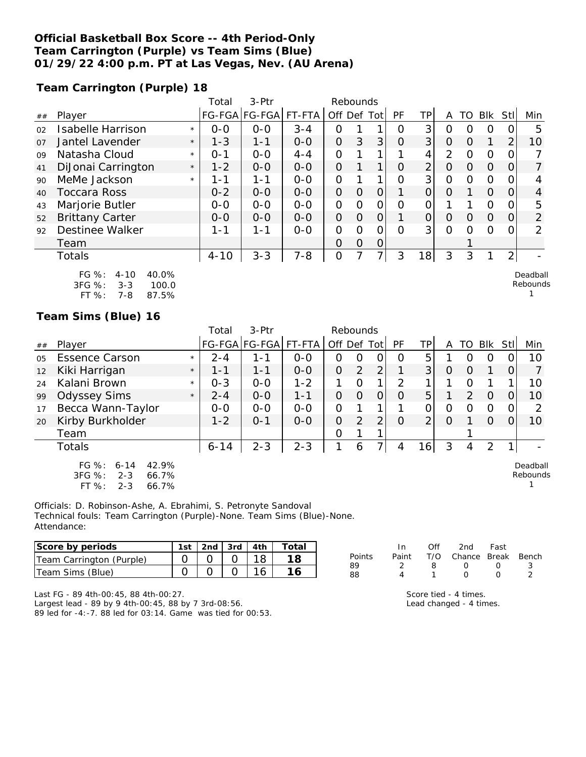#### **Official Basketball Box Score -- 4th Period-Only Team Carrington (Purple) vs Team Sims (Blue) 01/29/22 4:00 p.m. PT at Las Vegas, Nev. (AU Arena)**

**Team Carrington (Purple) 18**

|    |                                                                                       |         | Total    | 3-Ptr         |         | Rebounds            |                |                |                |                |                |                |                |                |                      |
|----|---------------------------------------------------------------------------------------|---------|----------|---------------|---------|---------------------|----------------|----------------|----------------|----------------|----------------|----------------|----------------|----------------|----------------------|
| ## | Player                                                                                |         |          | FG-FGA FG-FGA | FT-FTA  | Off Def Tot         |                |                | PF             | TP             | A              | TO             | Blk            | Stll           | Min                  |
| 02 | Isabelle Harrison                                                                     | $\star$ | $O-O$    | $O-O$         | $3 - 4$ | 0                   |                |                | $\Omega$       | 3              | 0              | O              | $\Omega$       | 0              | 5                    |
| 07 | Jantel Lavender                                                                       | $\star$ | $1 - 3$  | $1 - 1$       | $O-O$   | $\mathsf{O}\xspace$ | 3              | 3              | $\overline{O}$ | 3              | $\mathcal{O}$  | 0              | 1              | $\overline{2}$ | 10                   |
| 09 | Natasha Cloud                                                                         | $\star$ | $0 - 1$  | $0-0$         | $4 - 4$ | $\overline{O}$      |                |                |                | 4              | $\overline{2}$ | $\mathcal{O}$  | $\Omega$       | 0              |                      |
| 41 | DiJonai Carrington                                                                    | $\star$ | $1 - 2$  | $O-O$         | $O-O$   | $\overline{O}$      |                | 1              | $\overline{O}$ | $\overline{2}$ | $\overline{O}$ | $\overline{O}$ | $\Omega$       | 0              | $\overline{7}$       |
| 90 | MeMe Jackson                                                                          | $\star$ | $1 - 1$  | $1 - 1$       | $0-0$   | $\mathbf 0$         |                |                | $\overline{O}$ | 3              | $\overline{O}$ | $\mathcal{O}$  | $\Omega$       | 0              | 4                    |
| 40 | <b>Toccara Ross</b>                                                                   |         | $0 - 2$  | $0-0$         | $O-O$   | $\overline{O}$      | 0              | $\Omega$       |                | 0              | 0              |                | $\Omega$       | 0              | 4                    |
| 43 | Marjorie Butler                                                                       |         | $O-O$    | $0-0$         | $0-0$   | 0                   | 0              | $\overline{O}$ | Ο              | 0              |                |                | $\overline{O}$ | 0              | 5                    |
| 52 | <b>Brittany Carter</b>                                                                |         | $0 - 0$  | $0-0$         | $0-0$   | 0                   | $\mathbf 0$    | $\mathbf 0$    |                | $\overline{O}$ | $\Omega$       | $\overline{O}$ | $\mathbf 0$    | 0              | $\overline{2}$       |
| 92 | Destinee Walker                                                                       |         | $1 - 1$  | $1 - 1$       | $0-0$   | 0                   | $\overline{O}$ | $\Omega$       | $\Omega$       | 3              | $\Omega$       | 0              | $\Omega$       | 0              | $\overline{2}$       |
|    | Team                                                                                  |         |          |               |         | 0                   | 0              | $\Omega$       |                |                |                |                |                |                |                      |
|    | Totals                                                                                |         | $4 - 10$ | $3 - 3$       | $7 - 8$ | $\overline{O}$      | 7              | $\overline{7}$ | 3              | 18             | 3              | 3              | 1              | $\overline{2}$ |                      |
|    | FG %:<br>$4 - 10$<br>40.0%<br>3FG %:<br>$3 - 3$<br>100.0<br>FT %:<br>87.5%<br>$7 - 8$ |         |          |               |         |                     |                |                |                |                |                |                |                |                | Deadball<br>Rebounds |
|    | Team Sims (Blue) 16                                                                   |         |          |               |         |                     |                |                |                |                |                |                |                |                |                      |
|    |                                                                                       |         | Total    | 3-Ptr         |         | Rebounds            |                |                |                |                |                |                |                |                |                      |
| ## | Player                                                                                |         |          | FG-FGA FG-FGA | FT-FTA  | Off Def Tot         |                |                | <b>PF</b>      | <b>TP</b>      | A              | TO             | <b>Blk</b>     | Stl            | Min                  |
| 05 | <b>Essence Carson</b>                                                                 | $\star$ | $2 - 4$  | $1 - 1$       | $0-0$   | O                   | 0              | $\overline{O}$ | 0              | 5              |                | 0              | $\Omega$       | $\Omega$       | 10                   |
| 12 | Kiki Harrigan                                                                         | $\star$ | $1 - 1$  | $1 - 1$       | $0 - 0$ | $\overline{O}$      | $\overline{2}$ | $\overline{2}$ |                | 3              | O              | Ő              | 1              | 0              | $\overline{7}$       |

24 Kalani Brown \* 0-3 | 0-0 | 1-2 | 1 0 1 | 2 1 | 1 0 1 1 | 10 99 Odyssey Sims \* 2-4 0-0 1-1 0 0 0 0 5 1 2 0 0 10 17 Becca Wann-Taylor | 0-0 | 0-0 | 0-0 | 0 1 1 | 1 0 | 0 0 0 0 | 2 20 Kirby Burkholder | 1-2 | 0-1 | 0-0 | 0 2 2 | 0 2 | 0 1 0 0 | 10

Totals | 6-14 | 2-3 | 2-3 | 1 | 6 | 7| | 4 | 16| | 3 | 4 | 2 | 1| | | -

Team 0 1 1 1

Officials: D. Robinson-Ashe, A. Ebrahimi, S. Petronyte Sandoval Technical fouls: Team Carrington (Purple)-None. Team Sims (Blue)-None. Attendance:

| Score by periods         | 2nd $\sqrt{3}$ 3rd |  | $\tau$ otai |
|--------------------------|--------------------|--|-------------|
| Team Carrington (Purple) |                    |  |             |
| Team Sims (Blue)         |                    |  |             |

|        | In. | ∩ff | 2nd Fast                     |                  |     |
|--------|-----|-----|------------------------------|------------------|-----|
| Points |     |     | Paint T/O Chance Break Bench |                  |     |
| 89     |     | 8.  | $\left( \right)$             | $\left( \right)$ | - 3 |
| 88     | Λ   |     | $\left( \right)$             | $\left( \right)$ |     |

Deadball Rebounds 1

Last FG - 89 4th-00:45, 88 4th-00:27.

FG %: 6-14 42.9% 3FG %: 2-3 66.7%

2-3 66.7%

Largest lead - 89 by 9 4th-00:45, 88 by 7 3rd-08:56. 89 led for -4:-7. 88 led for 03:14. Game was tied for 00:53.

| Score tied - 4 times.   |  |
|-------------------------|--|
| Lead changed - 4 times. |  |